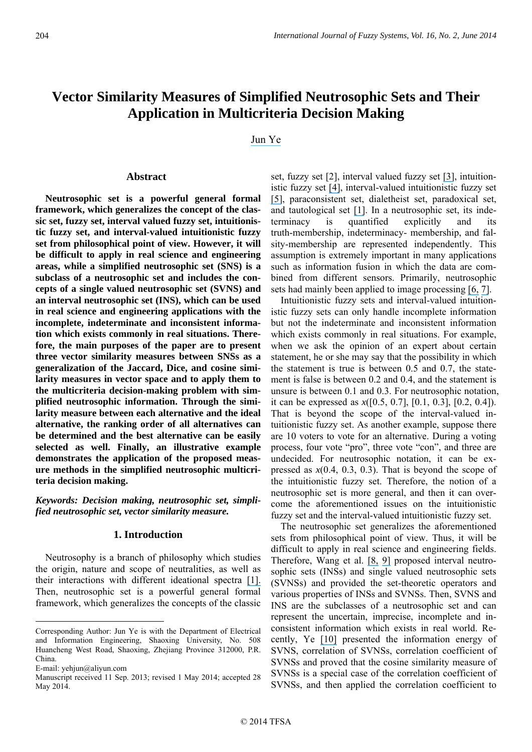# **Vector Similarity Measures of Simplified Neutrosophic Sets and Their Application in Multicriteria Decision Making**

[Jun Ye](https://www.researchgate.net/profile/Jun_Ye3?el=1_x_100&enrichId=rgreq-d0827249566a978e46d7efacd9ba0069-XXX&enrichSource=Y292ZXJQYWdlOzI4MTU0Njk3NDtBUzoyODk2NzU0NzEyNzgwODBAMTQ0NjA3NTQyMjYwOQ==) 

### Abstract

**Neutrosophic set is a powerful general formal framework, which generalizes the concept of the classic set, fuzzy set, interval valued fuzzy set, intuitionistic fuzzy set, and interval-valued intuitionistic fuzzy set from philosophical point of view. However, it will be difficult to apply in real science and engineering areas, while a simplified neutrosophic set (SNS) is a subclass of a neutrosophic set and includes the concepts of a single valued neutrosophic set (SVNS) and an interval neutrosophic set (INS), which can be used in real science and engineering applications with the incomplete, indeterminate and inconsistent information which exists commonly in real situations. Therefore, the main purposes of the paper are to present three vector similarity measures between SNSs as a generalization of the Jaccard, Dice, and cosine similarity measures in vector space and to apply them to the multicriteria decision-making problem with simplified neutrosophic information. Through the similarity measure between each alternative and the ideal alternative, the ranking order of all alternatives can be determined and the best alternative can be easily selected as well. Finally, an illustrative example demonstrates the application of the proposed measure methods in the simplified neutrosophic multicriteria decision making.** 

*Keywords: Decision making, neutrosophic set, simplified neutrosophic set, vector similarity measure.* 

## **1. Introduction**

Neutrosophy is a branch of philosophy which studies the origin, nature and scope of neutralities, as well as their interactions with different ideational spectra [\[1\].](https://www.researchgate.net/publication/308949256_A_UNIFYING_FIELD_IN_LOGICS_NEUTROSOPHIC_LOGIC_NEUTROSOPHY_NEUTROSOPHIC_SET_NEUTROSOPHIC_PROBABILITY_AND_STATISTICS?el=1_x_8&enrichId=rgreq-d0827249566a978e46d7efacd9ba0069-XXX&enrichSource=Y292ZXJQYWdlOzI4MTU0Njk3NDtBUzoyODk2NzU0NzEyNzgwODBAMTQ0NjA3NTQyMjYwOQ==) Then, neutrosophic set is a powerful general formal framework, which generalizes the concepts of the classic

<u>.</u>

set, fuzzy set [2], interval valued fuzzy set [\[3\]](https://www.researchgate.net/publication/222385773_Turksen_LB_Interval_valued_fuzzy_sets_based_on_normal_forms_Fuzzy_Sets_Syst_80_191-210?el=1_x_8&enrichId=rgreq-d0827249566a978e46d7efacd9ba0069-XXX&enrichSource=Y292ZXJQYWdlOzI4MTU0Njk3NDtBUzoyODk2NzU0NzEyNzgwODBAMTQ0NjA3NTQyMjYwOQ==), intuitionistic fuzzy set [\[4\]](https://www.researchgate.net/publication/256992299_Intuitionistic_Fuzzy_Sets_Fuzzy_Sets_Syst?el=1_x_8&enrichId=rgreq-d0827249566a978e46d7efacd9ba0069-XXX&enrichSource=Y292ZXJQYWdlOzI4MTU0Njk3NDtBUzoyODk2NzU0NzEyNzgwODBAMTQ0NjA3NTQyMjYwOQ==), interval-valued intuitionistic fuzzy set [\[5\]](https://www.researchgate.net/publication/242799145_Gargov_G_Interval_Valued_Intuitionistic_Fuzzy_Sets_Fuzzy_Sets_and_Systems_31_343-349?el=1_x_8&enrichId=rgreq-d0827249566a978e46d7efacd9ba0069-XXX&enrichSource=Y292ZXJQYWdlOzI4MTU0Njk3NDtBUzoyODk2NzU0NzEyNzgwODBAMTQ0NjA3NTQyMjYwOQ==), paraconsistent set, dialetheist set, paradoxical set, and tautological set [\[1\]](https://www.researchgate.net/publication/237361912_A_Unifying_Field_in_Logics_Neutrosophic_Logic_Neutrosophy_Neutrosophic_Set_Neutrosophic_Probability_fifth_edition?el=1_x_8&enrichId=rgreq-d0827249566a978e46d7efacd9ba0069-XXX&enrichSource=Y292ZXJQYWdlOzI4MTU0Njk3NDtBUzoyODk2NzU0NzEyNzgwODBAMTQ0NjA3NTQyMjYwOQ==). In a neutrosophic set, its indeterminacy is quantified explicitly and its truth-membership, indeterminacy- membership, and falsity-membership are represented independently. This assumption is extremely important in many applications such as information fusion in which the data are combined from different sensors. Primarily, neutrosophic sets had mainly been applied to image processing [\[6,](https://www.researchgate.net/publication/46510601_A_NEW_NEUTROSOPHIC_APPROACH_TO_IMAGE_DENOISING?el=1_x_8&enrichId=rgreq-d0827249566a978e46d7efacd9ba0069-XXX&enrichSource=Y292ZXJQYWdlOzI4MTU0Njk3NDtBUzoyODk2NzU0NzEyNzgwODBAMTQ0NjA3NTQyMjYwOQ==) [7\]](https://www.researchgate.net/publication/223719769_New_neutrosophic_approach_to_image_segmentation?el=1_x_8&enrichId=rgreq-d0827249566a978e46d7efacd9ba0069-XXX&enrichSource=Y292ZXJQYWdlOzI4MTU0Njk3NDtBUzoyODk2NzU0NzEyNzgwODBAMTQ0NjA3NTQyMjYwOQ==).

Intuitionistic fuzzy sets and interval-valued intuitionistic fuzzy sets can only handle incomplete information but not the indeterminate and inconsistent information which exists commonly in real situations. For example, when we ask the opinion of an expert about certain statement, he or she may say that the possibility in which the statement is true is between 0.5 and 0.7, the statement is false is between 0.2 and 0.4, and the statement is unsure is between 0.1 and 0.3. For neutrosophic notation, it can be expressed as *x*([0.5, 0.7], [0.1, 0.3], [0.2, 0.4]). That is beyond the scope of the interval-valued intuitionistic fuzzy set. As another example, suppose there are 10 voters to vote for an alternative. During a voting process, four vote "pro", three vote "con", and three are undecided. For neutrosophic notation, it can be expressed as  $x(0.4, 0.3, 0.3)$ . That is beyond the scope of the intuitionistic fuzzy set. Therefore, the notion of a neutrosophic set is more general, and then it can overcome the aforementioned issues on the intuitionistic fuzzy set and the interval-valued intuitionistic fuzzy set.

The neutrosophic set generalizes the aforementioned sets from philosophical point of view. Thus, it will be difficult to apply in real science and engineering fields. Therefore, Wang et al. [\[8,](https://www.researchgate.net/publication/237430259_Interval_Neutrosophic_Sets_and_Logic_Theory_and_Applications_in_Computing?el=1_x_8&enrichId=rgreq-d0827249566a978e46d7efacd9ba0069-XXX&enrichSource=Y292ZXJQYWdlOzI4MTU0Njk3NDtBUzoyODk2NzU0NzEyNzgwODBAMTQ0NjA3NTQyMjYwOQ==) [9\]](https://www.researchgate.net/publication/262047656_Single_valued_neutrosophic_sets?el=1_x_8&enrichId=rgreq-d0827249566a978e46d7efacd9ba0069-XXX&enrichSource=Y292ZXJQYWdlOzI4MTU0Njk3NDtBUzoyODk2NzU0NzEyNzgwODBAMTQ0NjA3NTQyMjYwOQ==) proposed interval neutrosophic sets (INSs) and single valued neutrosophic sets (SVNSs) and provided the set-theoretic operators and various properties of INSs and SVNSs. Then, SVNS and INS are the subclasses of a neutrosophic set and can represent the uncertain, imprecise, incomplete and inconsistent information which exists in real world. Recently, Ye [\[10\]](https://www.researchgate.net/publication/263257550_Multicriteria_decision-making_method_using_the_correlation_coefficient_under_single-value_neutrosophic_environment?el=1_x_8&enrichId=rgreq-d0827249566a978e46d7efacd9ba0069-XXX&enrichSource=Y292ZXJQYWdlOzI4MTU0Njk3NDtBUzoyODk2NzU0NzEyNzgwODBAMTQ0NjA3NTQyMjYwOQ==) presented the information energy of SVNS, correlation of SVNSs, correlation coefficient of SVNSs and proved that the cosine similarity measure of SVNSs is a special case of the correlation coefficient of SVNSs, and then applied the correlation coefficient to

Corresponding Author: Jun Ye is with the Department of Electrical and Information Engineering, Shaoxing University, No. 508 Huancheng West Road, Shaoxing, Zhejiang Province 312000, P.R. China.

E-mail: yehjun@aliyun.com

Manuscript received 11 Sep. 2013; revised 1 May 2014; accepted 28 May 2014.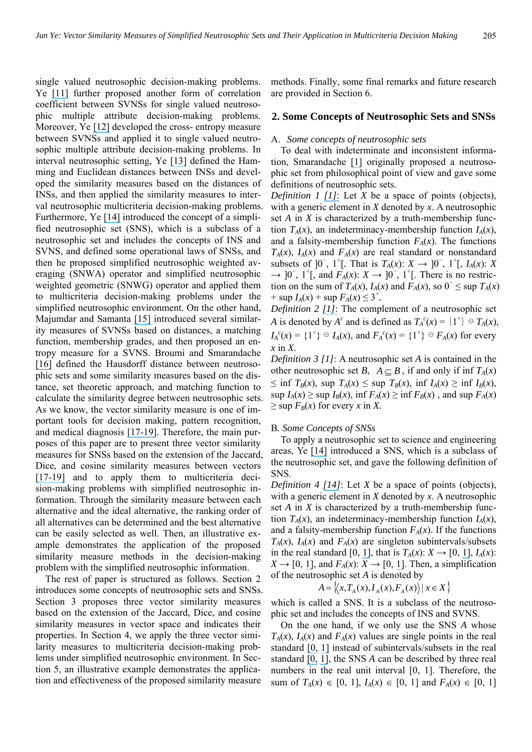single valued neutrosophic decision-making problems. Ye [\[11\]](https://www.researchgate.net/publication/308789690_Another_Form_of_Correlation_Coefficient_between_Single_Valued_Neutrosophic_Sets_and_Its_Multiple_Attribute_Decision-_Making_Method?el=1_x_8&enrichId=rgreq-d0827249566a978e46d7efacd9ba0069-XXX&enrichSource=Y292ZXJQYWdlOzI4MTU0Njk3NDtBUzoyODk2NzU0NzEyNzgwODBAMTQ0NjA3NTQyMjYwOQ==) further proposed another form of correlation coefficient between SVNSs for single valued neutrosophic multiple attribute decision-making problems. Moreover, Ye [\[12\]](https://www.researchgate.net/publication/260043492_Single_valued_neutrosophic_cross-entropy_for_multicriteria_decision_making_problems?el=1_x_8&enrichId=rgreq-d0827249566a978e46d7efacd9ba0069-XXX&enrichSource=Y292ZXJQYWdlOzI4MTU0Njk3NDtBUzoyODk2NzU0NzEyNzgwODBAMTQ0NjA3NTQyMjYwOQ==) developed the cross- entropy measure between SVNSs and applied it to single valued neutrosophic multiple attribute decision-making problems. In interval neutrosophic setting, Ye [\[13\]](https://www.researchgate.net/publication/262310809_Similarity_measures_between_interval_neutrosophic_sets_and_their_applications_in_multicriteria_decision-making?el=1_x_8&enrichId=rgreq-d0827249566a978e46d7efacd9ba0069-XXX&enrichSource=Y292ZXJQYWdlOzI4MTU0Njk3NDtBUzoyODk2NzU0NzEyNzgwODBAMTQ0NjA3NTQyMjYwOQ==) defined the Hamming and Euclidean distances between INSs and developed the similarity measures based on the distances of INSs, and then applied the similarity measures to interval neutrosophic multicriteria decision-making problems. Furthermore, Ye [\[14\]](https://www.researchgate.net/publication/281305240_A_multicriteria_decision-making_method_using_aggregation_operators_for_simplified_neutrosophic_sets?el=1_x_8&enrichId=rgreq-d0827249566a978e46d7efacd9ba0069-XXX&enrichSource=Y292ZXJQYWdlOzI4MTU0Njk3NDtBUzoyODk2NzU0NzEyNzgwODBAMTQ0NjA3NTQyMjYwOQ==) introduced the concept of a simplified neutrosophic set (SNS), which is a subclass of a neutrosophic set and includes the concepts of INS and SVNS, and defined some operational laws of SNSs, and then he proposed simplified neutrosophic weighted averaging (SNWA) operator and simplified neutrosophic weighted geometric (SNWG) operator and applied them to multicriteria decision-making problems under the simplified neutrosophic environment. On the other hand, Majumdar and Samanta [\[15\]](https://www.researchgate.net/publication/262326553_On_similarity_and_entropy_of_neutrosophic_sets?el=1_x_8&enrichId=rgreq-d0827249566a978e46d7efacd9ba0069-XXX&enrichSource=Y292ZXJQYWdlOzI4MTU0Njk3NDtBUzoyODk2NzU0NzEyNzgwODBAMTQ0NjA3NTQyMjYwOQ==) introduced several similarity measures of SVNSs based on distances, a matching function, membership grades, and then proposed an entropy measure for a SVNS. Broumi and Smarandache [\[16\]](https://www.researchgate.net/publication/268444223_Several_Similarity_Measures_of_Neutrosophic_Sets?el=1_x_8&enrichId=rgreq-d0827249566a978e46d7efacd9ba0069-XXX&enrichSource=Y292ZXJQYWdlOzI4MTU0Njk3NDtBUzoyODk2NzU0NzEyNzgwODBAMTQ0NjA3NTQyMjYwOQ==) defined the Hausdorff distance between neutrosophic sets and some similarity measures based on the distance, set theoretic approach, and matching function to calculate the similarity degree between neutrosophic sets. As we know, the vector similarity measure is one of important tools for decision making, pattern recognition, and medical diagnosis [\[17](https://www.researchgate.net/publication/220096421_Ye_J_Cosine_similarity_measures_for_intuitionistic_fuzzy_sets_and_their_applications_Mathematical_and_Computer_Modelling_53_91-97?el=1_x_8&enrichId=rgreq-d0827249566a978e46d7efacd9ba0069-XXX&enrichSource=Y292ZXJQYWdlOzI4MTU0Njk3NDtBUzoyODk2NzU0NzEyNzgwODBAMTQ0NjA3NTQyMjYwOQ==)[-](https://www.researchgate.net/publication/257161413_Multicriteria_decision-making_method_using_the_Dice_similarity_measure_based_on_the_reduct_intuitionistic_fuzzy_sets_of_interval-valued_intuitionistic_fuzzy_sets?el=1_x_8&enrichId=rgreq-d0827249566a978e46d7efacd9ba0069-XXX&enrichSource=Y292ZXJQYWdlOzI4MTU0Njk3NDtBUzoyODk2NzU0NzEyNzgwODBAMTQ0NjA3NTQyMjYwOQ==)[19\]](https://www.researchgate.net/publication/251217496_Multicriteria_Group_Decision-Making_Method_Using_Vector_Similarity_Measures_For_Trapezoidal_Intuitionistic_Fuzzy_Numbers?el=1_x_8&enrichId=rgreq-d0827249566a978e46d7efacd9ba0069-XXX&enrichSource=Y292ZXJQYWdlOzI4MTU0Njk3NDtBUzoyODk2NzU0NzEyNzgwODBAMTQ0NjA3NTQyMjYwOQ==). Therefore, the main purposes of this paper are to present three vector similarity measures for SNSs based on the extension of the Jaccard, Dice, and cosine similarity measures between vectors [\[17](https://www.researchgate.net/publication/220096421_Ye_J_Cosine_similarity_measures_for_intuitionistic_fuzzy_sets_and_their_applications_Mathematical_and_Computer_Modelling_53_91-97?el=1_x_8&enrichId=rgreq-d0827249566a978e46d7efacd9ba0069-XXX&enrichSource=Y292ZXJQYWdlOzI4MTU0Njk3NDtBUzoyODk2NzU0NzEyNzgwODBAMTQ0NjA3NTQyMjYwOQ==)[-](https://www.researchgate.net/publication/257161413_Multicriteria_decision-making_method_using_the_Dice_similarity_measure_based_on_the_reduct_intuitionistic_fuzzy_sets_of_interval-valued_intuitionistic_fuzzy_sets?el=1_x_8&enrichId=rgreq-d0827249566a978e46d7efacd9ba0069-XXX&enrichSource=Y292ZXJQYWdlOzI4MTU0Njk3NDtBUzoyODk2NzU0NzEyNzgwODBAMTQ0NjA3NTQyMjYwOQ==)[19\]](https://www.researchgate.net/publication/251217496_Multicriteria_Group_Decision-Making_Method_Using_Vector_Similarity_Measures_For_Trapezoidal_Intuitionistic_Fuzzy_Numbers?el=1_x_8&enrichId=rgreq-d0827249566a978e46d7efacd9ba0069-XXX&enrichSource=Y292ZXJQYWdlOzI4MTU0Njk3NDtBUzoyODk2NzU0NzEyNzgwODBAMTQ0NjA3NTQyMjYwOQ==) and to apply them to multicriteria decision-making problems with simplified neutrosophic information. Through the similarity measure between each alternative and the ideal alternative, the ranking order of all alternatives can be determined and the best alternative can be easily selected as well. Then, an illustrative example demonstrates the application of the proposed similarity measure methods in the decision-making problem with the simplified neutrosophic information.

The rest of paper is structured as follows. Section 2 introduces some concepts of neutrosophic sets and SNSs. Section 3 proposes three vector similarity measures based on the extension of the Jaccard, Dice, and cosine similarity measures in vector space and indicates their properties. In Section 4, we apply the three vector similarity measures to multicriteria decision-making problems under simplified neutrosophic environment. In Section 5, an illustrative example demonstrates the application and effectiveness of the proposed similarity measure

methods. Finally, some final remarks and future research are provided in Section 6.

#### **2. Some Concepts of Neutrosophic Sets and SNSs**

#### A. *Some concepts of neutrosophic sets*

To deal with indeterminate and inconsistent information, Smarandache [\[1\]](https://www.researchgate.net/publication/308949256_A_UNIFYING_FIELD_IN_LOGICS_NEUTROSOPHIC_LOGIC_NEUTROSOPHY_NEUTROSOPHIC_SET_NEUTROSOPHIC_PROBABILITY_AND_STATISTICS?el=1_x_8&enrichId=rgreq-d0827249566a978e46d7efacd9ba0069-XXX&enrichSource=Y292ZXJQYWdlOzI4MTU0Njk3NDtBUzoyODk2NzU0NzEyNzgwODBAMTQ0NjA3NTQyMjYwOQ==) originally proposed a neutrosophic set from philosophical point of view and gave some definitions of neutrosophic sets.

*Definition 1 [\[1\]](https://www.researchgate.net/publication/308949256_A_UNIFYING_FIELD_IN_LOGICS_NEUTROSOPHIC_LOGIC_NEUTROSOPHY_NEUTROSOPHIC_SET_NEUTROSOPHIC_PROBABILITY_AND_STATISTICS?el=1_x_8&enrichId=rgreq-d0827249566a978e46d7efacd9ba0069-XXX&enrichSource=Y292ZXJQYWdlOzI4MTU0Njk3NDtBUzoyODk2NzU0NzEyNzgwODBAMTQ0NjA3NTQyMjYwOQ==)*: Let *X* be a space of points (objects), with a generic element in *X* denoted by *x*. A neutrosophic set *A* in *X* is characterized by a truth-membership function  $T_A(x)$ , an indeterminacy-membership function  $I_A(x)$ , and a falsity-membership function  $F_A(x)$ . The functions  $T_A(x)$ ,  $I_A(x)$  and  $F_A(x)$  are real standard or nonstandard subsets of  $]0^-$ , 1<sup>+</sup>[. That is  $T_A(x)$ : *X* →  $]0^-$ , 1<sup>+</sup>[, *I<sub>A</sub>*(*x*): *X*  $\rightarrow$  ]0<sup>-</sup>, 1<sup>+</sup>[, and  $F_A(x)$ :  $X \rightarrow$  ]0<sup>-</sup>, 1<sup>+</sup>[. There is no restriction on the sum of  $T_A(x)$ ,  $I_A(x)$  and  $F_A(x)$ , so  $0^- \leq \sup T_A(x)$ + sup  $I_A(x)$  + sup  $F_A(x) \le 3^+$ .

*Definition 2 [\[1\]](https://www.researchgate.net/publication/308949256_A_UNIFYING_FIELD_IN_LOGICS_NEUTROSOPHIC_LOGIC_NEUTROSOPHY_NEUTROSOPHIC_SET_NEUTROSOPHIC_PROBABILITY_AND_STATISTICS?el=1_x_8&enrichId=rgreq-d0827249566a978e46d7efacd9ba0069-XXX&enrichSource=Y292ZXJQYWdlOzI4MTU0Njk3NDtBUzoyODk2NzU0NzEyNzgwODBAMTQ0NjA3NTQyMjYwOQ==)*: The complement of a neutrosophic set *A* is denoted by *A<sup>c</sup>* and is defined as  $T_A^c(x) = \{1^+\} \oplus T_A(x)$ ,  $I_A^c(x) = \{1^+\} \oplus I_A(x)$ , and  $F_A^c(x) = \{1^+\} \oplus F_A(x)$  for every *x* in *X.*

*Definition 3 [1]*: A neutrosophic set *A* is contained in the other neutrosophic set *B*,  $A \subseteq B$ , if and only if inf  $T_A(x)$  $\leq$  inf  $T_B(x)$ , sup  $T_A(x) \leq$  sup  $T_B(x)$ , inf  $I_A(x) \geq$  inf  $I_B(x)$ ,  $\sup I_A(x) \geq \sup I_B(x)$ ,  $\inf F_A(x) \geq \inf F_B(x)$ , and  $\sup F_A(x)$  $\geq$  sup  $F_B(x)$  for every *x* in *X*.

#### B*. Some Concepts of SNSs*

To apply a neutrosophic set to science and engineering areas, Ye [\[14\]](https://www.researchgate.net/publication/281305240_A_multicriteria_decision-making_method_using_aggregation_operators_for_simplified_neutrosophic_sets?el=1_x_8&enrichId=rgreq-d0827249566a978e46d7efacd9ba0069-XXX&enrichSource=Y292ZXJQYWdlOzI4MTU0Njk3NDtBUzoyODk2NzU0NzEyNzgwODBAMTQ0NjA3NTQyMjYwOQ==) introduced a SNS, which is a subclass of the neutrosophic set, and gave the following definition of SNS.

*Definition 4 [\[14\]](https://www.researchgate.net/publication/281305240_A_multicriteria_decision-making_method_using_aggregation_operators_for_simplified_neutrosophic_sets?el=1_x_8&enrichId=rgreq-d0827249566a978e46d7efacd9ba0069-XXX&enrichSource=Y292ZXJQYWdlOzI4MTU0Njk3NDtBUzoyODk2NzU0NzEyNzgwODBAMTQ0NjA3NTQyMjYwOQ==)*: Let *X* be a space of points (objects), with a generic element in *X* denoted by *x*. A neutrosophic set *A* in *X* is characterized by a truth-membership function  $T_A(x)$ , an indeterminacy-membership function  $I_A(x)$ , and a falsity-membership function  $F_A(x)$ . If the functions  $T_A(x)$ ,  $I_A(x)$  and  $F_A(x)$  are singleton subintervals/subsets in the real standard [0, [1\]](https://www.researchgate.net/publication/237361912_A_Unifying_Field_in_Logics_Neutrosophic_Logic_Neutrosophy_Neutrosophic_Set_Neutrosophic_Probability_fifth_edition?el=1_x_8&enrichId=rgreq-d0827249566a978e46d7efacd9ba0069-XXX&enrichSource=Y292ZXJQYWdlOzI4MTU0Njk3NDtBUzoyODk2NzU0NzEyNzgwODBAMTQ0NjA3NTQyMjYwOQ==), that is  $T_A(x)$ :  $X \rightarrow [0, 1]$ ,  $I_A(x)$ :  $X \rightarrow [0, 1]$  $X \rightarrow [0, 1]$ , and  $F_A(x): X \rightarrow [0, 1]$ . Then, a simplification of the neutrosophic set *A* is denoted by

$$
A = \langle \langle x, T_A(x), I_A(x), F_A(x) \rangle | x \in X \rangle
$$

which is called a SNS. It is a subclass of the neutrosophic set and includes the concepts of INS and SVNS.

On the one hand, if we only use the SNS *A* whose  $T_A(x)$ ,  $I_A(x)$  and  $F_A(x)$  values are single points in the real standard [\[0,](https://www.researchgate.net/publication/308949256_A_UNIFYING_FIELD_IN_LOGICS_NEUTROSOPHIC_LOGIC_NEUTROSOPHY_NEUTROSOPHIC_SET_NEUTROSOPHIC_PROBABILITY_AND_STATISTICS?el=1_x_8&enrichId=rgreq-d0827249566a978e46d7efacd9ba0069-XXX&enrichSource=Y292ZXJQYWdlOzI4MTU0Njk3NDtBUzoyODk2NzU0NzEyNzgwODBAMTQ0NjA3NTQyMjYwOQ==) [1\]](https://www.researchgate.net/publication/237361912_A_Unifying_Field_in_Logics_Neutrosophic_Logic_Neutrosophy_Neutrosophic_Set_Neutrosophic_Probability_fifth_edition?el=1_x_8&enrichId=rgreq-d0827249566a978e46d7efacd9ba0069-XXX&enrichSource=Y292ZXJQYWdlOzI4MTU0Njk3NDtBUzoyODk2NzU0NzEyNzgwODBAMTQ0NjA3NTQyMjYwOQ==) instead of subintervals/subsets in the real standard [\[0,](https://www.researchgate.net/publication/308949256_A_UNIFYING_FIELD_IN_LOGICS_NEUTROSOPHIC_LOGIC_NEUTROSOPHY_NEUTROSOPHIC_SET_NEUTROSOPHIC_PROBABILITY_AND_STATISTICS?el=1_x_8&enrichId=rgreq-d0827249566a978e46d7efacd9ba0069-XXX&enrichSource=Y292ZXJQYWdlOzI4MTU0Njk3NDtBUzoyODk2NzU0NzEyNzgwODBAMTQ0NjA3NTQyMjYwOQ==) [1\]](https://www.researchgate.net/publication/237361912_A_Unifying_Field_in_Logics_Neutrosophic_Logic_Neutrosophy_Neutrosophic_Set_Neutrosophic_Probability_fifth_edition?el=1_x_8&enrichId=rgreq-d0827249566a978e46d7efacd9ba0069-XXX&enrichSource=Y292ZXJQYWdlOzI4MTU0Njk3NDtBUzoyODk2NzU0NzEyNzgwODBAMTQ0NjA3NTQyMjYwOQ==), the SNS *A* can be described by three real numbers in the real unit interval [0, 1]. Therefore, the sum of  $T_A(x) \in [0, 1]$ ,  $I_A(x) \in [0, 1]$  and  $F_A(x) \in [0, 1]$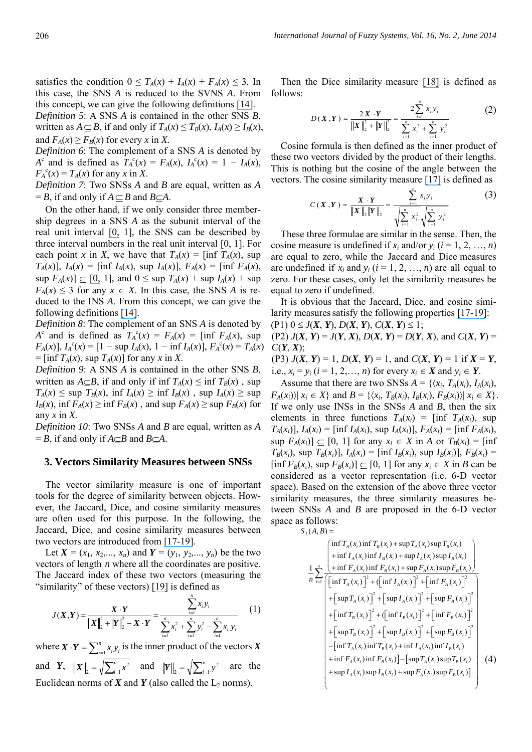satisfies the condition  $0 \leq T_A(x) + I_A(x) + F_A(x) \leq 3$ . In this case, the SNS *A* is reduced to the SVNS *A*. From this concept, we can give the following definitions [\[14\]](https://www.researchgate.net/publication/281305240_A_multicriteria_decision-making_method_using_aggregation_operators_for_simplified_neutrosophic_sets?el=1_x_8&enrichId=rgreq-d0827249566a978e46d7efacd9ba0069-XXX&enrichSource=Y292ZXJQYWdlOzI4MTU0Njk3NDtBUzoyODk2NzU0NzEyNzgwODBAMTQ0NjA3NTQyMjYwOQ==). *Definition 5*: A SNS *A* is contained in the other SNS *B*,

written as  $A \subseteq B$ , if and only if  $T_A(x) \le T_B(x)$ ,  $I_A(x) \ge I_B(x)$ , and  $F_A(x) \geq F_B(x)$  for every *x* in *X*.

*Definition 6*: The complement of a SNS *A* is denoted by *A*<sup>c</sup> and is defined as  $T_A^c(x) = F_A(x), I_A^c(x) = 1 - I_A(x),$  $F_A^c(x) = T_A(x)$  for any *x* in *X*.

*Definition 7*: Two SNSs *A* and *B* are equal, written as *A*  $B = B$ , if and only if  $A \subseteq B$  and  $B \subseteq A$ .

On the other hand, if we only consider three membership degrees in a SNS *A* as the subunit interval of the real unit interval [\[0,](https://www.researchgate.net/publication/308949256_A_UNIFYING_FIELD_IN_LOGICS_NEUTROSOPHIC_LOGIC_NEUTROSOPHY_NEUTROSOPHIC_SET_NEUTROSOPHIC_PROBABILITY_AND_STATISTICS?el=1_x_8&enrichId=rgreq-d0827249566a978e46d7efacd9ba0069-XXX&enrichSource=Y292ZXJQYWdlOzI4MTU0Njk3NDtBUzoyODk2NzU0NzEyNzgwODBAMTQ0NjA3NTQyMjYwOQ==) 1], the SNS can be described by three interval numbers in the real unit interval [\[0,](https://www.researchgate.net/publication/308949256_A_UNIFYING_FIELD_IN_LOGICS_NEUTROSOPHIC_LOGIC_NEUTROSOPHY_NEUTROSOPHIC_SET_NEUTROSOPHIC_PROBABILITY_AND_STATISTICS?el=1_x_8&enrichId=rgreq-d0827249566a978e46d7efacd9ba0069-XXX&enrichSource=Y292ZXJQYWdlOzI4MTU0Njk3NDtBUzoyODk2NzU0NzEyNzgwODBAMTQ0NjA3NTQyMjYwOQ==) 1]. For each point *x* in *X*, we have that  $T_A(x) = \text{inf } T_A(x)$ , sup *T<sub>A</sub>*(*x*)], *I<sub>A</sub>*(*x*) = [inf *I<sub>A</sub>*(*x*), sup *I<sub>A</sub>*(*x*)], *F<sub>A</sub>*(*x*) = [inf *F<sub>A</sub>*(*x*),  $\sup F_A(x)$   $\subseteq$  [\[0,](https://www.researchgate.net/publication/308949256_A_UNIFYING_FIELD_IN_LOGICS_NEUTROSOPHIC_LOGIC_NEUTROSOPHY_NEUTROSOPHIC_SET_NEUTROSOPHIC_PROBABILITY_AND_STATISTICS?el=1_x_8&enrichId=rgreq-d0827249566a978e46d7efacd9ba0069-XXX&enrichSource=Y292ZXJQYWdlOzI4MTU0Njk3NDtBUzoyODk2NzU0NzEyNzgwODBAMTQ0NjA3NTQyMjYwOQ==) 1], and  $0 \leq \sup T_A(x) + \sup I_A(x) + \sup$  $F_A(x) \leq 3$  for any  $x \in X$ . In this case, the SNS *A* is reduced to the INS *A*. From this concept, we can give the following definitions [\[14\]](https://www.researchgate.net/publication/281305240_A_multicriteria_decision-making_method_using_aggregation_operators_for_simplified_neutrosophic_sets?el=1_x_8&enrichId=rgreq-d0827249566a978e46d7efacd9ba0069-XXX&enrichSource=Y292ZXJQYWdlOzI4MTU0Njk3NDtBUzoyODk2NzU0NzEyNzgwODBAMTQ0NjA3NTQyMjYwOQ==).

*Definition 8*: The complement of an SNS *A* is denoted by  $A^{c}$  and is defined as  $T_A^{c}(x) = F_A(x) = \text{inf } F_A(x)$ , sup  $F_A(x)$ ],  $I_A^c(x) = [1 - \sup I_A(x), 1 - \inf I_A(x)]$ ,  $F_A^c(x) = T_A(x)$  $=$  [inf  $T_A(x)$ , sup  $T_A(x)$ ] for any *x* in *X*.

*Definition 9*: A SNS *A* is contained in the other SNS *B*, written as  $A \subseteq B$ , if and only if inf  $T_A(x) \le \inf T_B(x)$ , sup  $T_A(x) \leq \sup T_B(x)$ ,  $\inf I_A(x) \geq \inf I_B(x)$ ,  $\sup I_A(x) \geq \sup$  $I_B(x)$ , inf  $F_A(x) \ge \inf F_B(x)$ , and sup  $F_A(x) \ge \sup F_B(x)$  for any *x* in *X*.

*Definition 10*: Two SNSs *A* and *B* are equal, written as *A*  $=$  *B*, if and only if *A* $\subseteq$ *B* and *B* $\subseteq$ *A*.

# **3. Vectors Similarity Measures between SNSs**

The vector similarity measure is one of important tools for the degree of similarity between objects. However, the Jaccard, Dice, and cosine similarity measures are often used for this purpose. In the following, the Jaccard, Dice, and cosine similarity measures between two vectors are introduced from [\[17](https://www.researchgate.net/publication/220096421_Ye_J_Cosine_similarity_measures_for_intuitionistic_fuzzy_sets_and_their_applications_Mathematical_and_Computer_Modelling_53_91-97?el=1_x_8&enrichId=rgreq-d0827249566a978e46d7efacd9ba0069-XXX&enrichSource=Y292ZXJQYWdlOzI4MTU0Njk3NDtBUzoyODk2NzU0NzEyNzgwODBAMTQ0NjA3NTQyMjYwOQ==)[-](https://www.researchgate.net/publication/257161413_Multicriteria_decision-making_method_using_the_Dice_similarity_measure_based_on_the_reduct_intuitionistic_fuzzy_sets_of_interval-valued_intuitionistic_fuzzy_sets?el=1_x_8&enrichId=rgreq-d0827249566a978e46d7efacd9ba0069-XXX&enrichSource=Y292ZXJQYWdlOzI4MTU0Njk3NDtBUzoyODk2NzU0NzEyNzgwODBAMTQ0NjA3NTQyMjYwOQ==)[19\]](https://www.researchgate.net/publication/251217496_Multicriteria_Group_Decision-Making_Method_Using_Vector_Similarity_Measures_For_Trapezoidal_Intuitionistic_Fuzzy_Numbers?el=1_x_8&enrichId=rgreq-d0827249566a978e46d7efacd9ba0069-XXX&enrichSource=Y292ZXJQYWdlOzI4MTU0Njk3NDtBUzoyODk2NzU0NzEyNzgwODBAMTQ0NjA3NTQyMjYwOQ==).

Let  $X = (x_1, x_2,..., x_n)$  and  $Y = (y_1, y_2,..., y_n)$  be the two vectors of length *n* where all the coordinates are positive. The Jaccard index of these two vectors (measuring the "similarity" of these vectors) [\[19\]](https://www.researchgate.net/publication/251217496_Multicriteria_Group_Decision-Making_Method_Using_Vector_Similarity_Measures_For_Trapezoidal_Intuitionistic_Fuzzy_Numbers?el=1_x_8&enrichId=rgreq-d0827249566a978e46d7efacd9ba0069-XXX&enrichSource=Y292ZXJQYWdlOzI4MTU0Njk3NDtBUzoyODk2NzU0NzEyNzgwODBAMTQ0NjA3NTQyMjYwOQ==) is defined as

$$
J(X,Y) = \frac{X \cdot Y}{\|X\|_{2}^{2} + \|Y\|_{2}^{2} - X \cdot Y} = \frac{\sum_{i=1}^{n} x_{i} y_{i}}{\sum_{i=1}^{n} x_{i}^{2} + \sum_{i=1}^{n} y_{i}^{2} - \sum_{i=1}^{n} x_{i} y_{i}}
$$
(1)

where  $X \cdot Y = \sum_{i=1}^{n} x_i y_i$  is the inner product of the vectors X and *Y*,  $||X||_2 = \sqrt{\sum_{i=1}^n x_i}$  $||X||_2 = \sqrt{\sum_{i=1}^n x^2}$  and  $||Y||_2 = \sqrt{\sum_{i=1}^n y^2}$  are the Euclidean norms of  $X$  and  $Y$  (also called the  $L_2$  norms).

Then the Dice similarity measure [\[18\]](https://www.researchgate.net/publication/257161413_Multicriteria_decision-making_method_using_the_Dice_similarity_measure_based_on_the_reduct_intuitionistic_fuzzy_sets_of_interval-valued_intuitionistic_fuzzy_sets?el=1_x_8&enrichId=rgreq-d0827249566a978e46d7efacd9ba0069-XXX&enrichSource=Y292ZXJQYWdlOzI4MTU0Njk3NDtBUzoyODk2NzU0NzEyNzgwODBAMTQ0NjA3NTQyMjYwOQ==) is defined as follows:

$$
D(X,Y) = \frac{2X \cdot Y}{\|X\|_{2}^{2} + \|Y\|_{2}^{2}} = \frac{2\sum_{i=1}^{n} x_{i}y_{i}}{\sum_{i=1}^{n} x_{i}^{2} + \sum_{i=1}^{n} y_{i}^{2}}
$$
(2)

Cosine formula is then defined as the inner product of these two vectors divided by the product of their lengths. This is nothing but the cosine of the angle between the vectors. The cosine similarity measure [\[17\]](https://www.researchgate.net/publication/220096421_Ye_J_Cosine_similarity_measures_for_intuitionistic_fuzzy_sets_and_their_applications_Mathematical_and_Computer_Modelling_53_91-97?el=1_x_8&enrichId=rgreq-d0827249566a978e46d7efacd9ba0069-XXX&enrichSource=Y292ZXJQYWdlOzI4MTU0Njk3NDtBUzoyODk2NzU0NzEyNzgwODBAMTQ0NjA3NTQyMjYwOQ==) is defined as

$$
C(X,Y) = \frac{X \cdot Y}{\|X\|_{2} \|Y\|_{2}} = \frac{\sum_{i=1}^{n} x_{i} y_{i}}{\sqrt{\sum_{i=1}^{n} x_{i}^{2}} \sqrt{\sum_{i=1}^{n} y_{i}^{2}}}
$$
(3)

These three formulae are similar in the sense. Then, the cosine measure is undefined if  $x_i$  and/or  $y_i$  ( $i = 1, 2, ..., n$ ) are equal to zero, while the Jaccard and Dice measures are undefined if  $x_i$  and  $y_i$  ( $i = 1, 2, ..., n$ ) are all equal to zero. For these cases, only let the similarity measures be equal to zero if undefined.

It is obvious that the Jaccard, Dice, and cosine simi-larity measures satisfy the following properties [\[17](https://www.researchgate.net/publication/220096421_Ye_J_Cosine_similarity_measures_for_intuitionistic_fuzzy_sets_and_their_applications_Mathematical_and_Computer_Modelling_53_91-97?el=1_x_8&enrichId=rgreq-d0827249566a978e46d7efacd9ba0069-XXX&enrichSource=Y292ZXJQYWdlOzI4MTU0Njk3NDtBUzoyODk2NzU0NzEyNzgwODBAMTQ0NjA3NTQyMjYwOQ==)[-](https://www.researchgate.net/publication/257161413_Multicriteria_decision-making_method_using_the_Dice_similarity_measure_based_on_the_reduct_intuitionistic_fuzzy_sets_of_interval-valued_intuitionistic_fuzzy_sets?el=1_x_8&enrichId=rgreq-d0827249566a978e46d7efacd9ba0069-XXX&enrichSource=Y292ZXJQYWdlOzI4MTU0Njk3NDtBUzoyODk2NzU0NzEyNzgwODBAMTQ0NjA3NTQyMjYwOQ==)[19\]](https://www.researchgate.net/publication/251217496_Multicriteria_Group_Decision-Making_Method_Using_Vector_Similarity_Measures_For_Trapezoidal_Intuitionistic_Fuzzy_Numbers?el=1_x_8&enrichId=rgreq-d0827249566a978e46d7efacd9ba0069-XXX&enrichSource=Y292ZXJQYWdlOzI4MTU0Njk3NDtBUzoyODk2NzU0NzEyNzgwODBAMTQ0NjA3NTQyMjYwOQ==):  $(P1)$   $0 < I(Y, Y)$ ,  $D(Y, Y)$ ,  $C(Y, Y) < 1$ ;

$$
(P1) 0 \leq J(\mathbf{A}, \mathbf{I}), D(\mathbf{A}, \mathbf{I}), C(\mathbf{A}, \mathbf{I}) \leq 1;
$$

(P2)  $J(X, Y) = J(Y, X), D(X, Y) = D(Y, X),$  and  $C(X, Y) =$  $C(Y, X)$ ;

(P3)  $J(X, Y) = 1$ ,  $D(X, Y) = 1$ , and  $C(X, Y) = 1$  if  $X = Y$ , i.e.,  $x_i = y_i$  ( $i = 1, 2, ..., n$ ) for every  $x_i \in X$  and  $y_i \in Y$ .

Assume that there are two SNSs  $A = \{ \langle x_i, T_A(x_i), I_A(x_i), \rangle \}$  $F_A(x_i)$   $\vert x_i \in X$  and  $B = \{ \langle x_i, T_B(x_i), I_B(x_i), F_B(x_i) \rangle \vert x_i \in X \}.$ If we only use INSs in the SNSs *A* and *B*, then the six elements in three functions  $T_A(x_i) = \inf T_A(x_i)$ , sup *T<sub>A</sub>*(*x<sub>i</sub>*)], *I<sub>A</sub>*(*x<sub>i</sub>*) = [inf *I<sub>A</sub>*(*x<sub>i</sub>*), sup *I<sub>A</sub>*(*x<sub>i</sub>*)], *F<sub>A</sub>*(*x<sub>i</sub>*) = [inf *F<sub>A</sub>*(*x<sub>i</sub>*),  $\sup F_A(x_i) \leq [0, 1]$  for any  $x_i \in X$  in *A* or  $T_B(x_i) = [\inf$  $T_B(x_i)$ , sup  $T_B(x_i)$ ],  $I_A(x_i) = \text{inf } I_B(x_i)$ , sup  $I_B(x_i)$ ],  $F_B(x_i) =$  $[\inf F_B(x_i)]$ , sup  $F_B(x_i)$   $\subset$  [0, 1] for any  $x_i \in X$  in *B* can be considered as a vector representation (i.e. 6-D vector space). Based on the extension of the above three vector similarity measures, the three similarity measures between SNSs *A* and *B* are proposed in the 6-D vector space as follows:

 $S_J(A, B) =$ 

$$
\frac{\left(\inf T_{A}(x_{i})\inf T_{B}(x_{i}) + \sup T_{A}(x_{i})\sup T_{B}(x_{i})\right)}{n \prod_{i=1}^{n} \left(\frac{\inf T_{A}(x_{i})\inf T_{B}(x_{i}) + \sup T_{A}(x_{i})\sup T_{B}(x_{i})\right)}{\left(\frac{\inf T_{A}(x_{i})\inf F_{B}(x_{i}) + \sup F_{A}(x_{i})\sup F_{B}(x_{i})\right)}\right)} + \left[\frac{\left(\inf T_{A}(x_{i})\right)^{2} + \left(\frac{\inf T_{A}(x_{i})}{2}\right)^{2} + \left[\frac{\inf T_{A}(x_{i})}{2}\right]^{2} + \left[\frac{\inf T_{A}(x_{i})}{2}\right]^{2}}{\left(\frac{\inf T_{B}(x_{i})}{2}\right)^{2} + \left[\frac{\sup T_{A}(x_{i})}{2}\right]^{2} + \left[\frac{\sup T_{A}(x_{i})}{2}\right]^{2} + \left[\frac{\sup T_{B}(x_{i})}{2}\right]^{2} + \left[\frac{\sup T_{B}(x_{i})}{2}\right]^{2} + \left[\frac{\sup T_{B}(x_{i})}{2}\right]^{2} + \left[\frac{\sup T_{B}(x_{i})}{2}\right]^{2} + \left[\frac{\sup T_{B}(x_{i})}{2}\right]^{2} + \left[\frac{\sup T_{B}(x_{i})}{2}\right]^{2} + \left[\frac{\sup T_{B}(x_{i})}{2}\right]^{2} + \left[\frac{\sup T_{B}(x_{i})}{2}\right]^{2} + \left[\frac{\sup T_{A}(x_{i})\inf T_{B}(x_{i})}{2}\right]^{2} + \left[\frac{\sup T_{A}(x_{i})\inf T_{B}(x_{i}) - \left[\frac{\sup T_{A}(x_{i})\sup T_{B}(x_{i})}{2}\right]}{\left(\frac{\sup T_{A}(x_{i})\sup T_{B}(x_{i})\sup T_{B}(x_{i})\right)}\right]^{2} + \left[\frac{\sup T_{A}(x_{i})\sup T_{B}(x_{i})}{2} + \frac{\sup T_{A}(x_{i})\sup T_{B}(x_{i})}{2} + \frac{\sup T_{A}(x_{i})\sup T_{B}(x_{i})}{2} + \frac{\sup T_{A}(x_{i})\sup T_{B}(x_{i})}{2} + \frac{\sup T_{A}(x_{i})\sup T_{B}(x
$$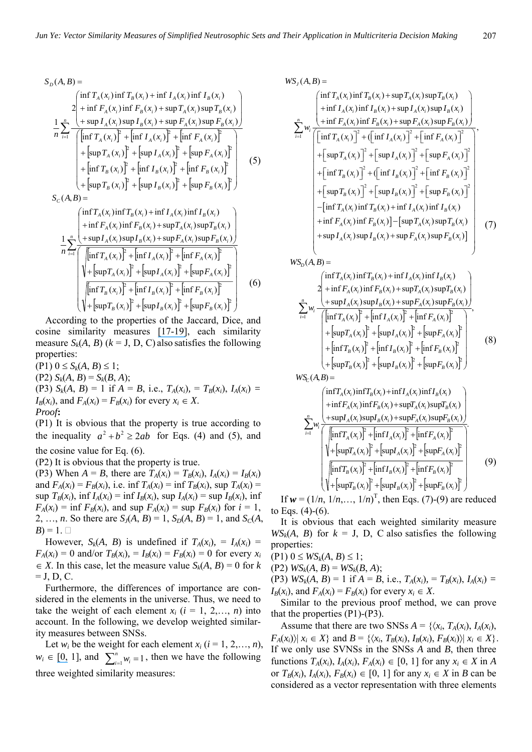$$
S_{D}(A, B) =
$$
\n
$$
S_{D}(A, B) =
$$
\n
$$
\frac{\left(\ln f T_{A}(x_{i}) \ln f T_{B}(x_{i}) + \ln f I_{A}(x_{i}) \ln f I_{B}(x_{i})\right)}{\ln \sum_{i=1}^{n} \frac{\left(\ln f T_{A}(x_{i}) \ln f F_{B}(x_{i}) + \sup T_{A}(x_{i}) \sup F_{B}(x_{i})\right)}{\left(\ln f T_{A}(x_{i})\right)^{2} + \left[\ln f I_{A}(x_{i})\right]^{2} + \left[\ln f F_{A}(x_{i})\right]^{2}} \right)}
$$
\n
$$
= \frac{\left(\ln f T_{A}(x_{i})\right)^{2} + \left[\ln f I_{A}(x_{i})\right]^{2} + \left[\ln f F_{A}(x_{i})\right]^{2}}{\left(\ln f T_{B}(x_{i})\right)^{2} + \left[\ln f I_{B}(x_{i})\right]^{2} + \left[\ln f F_{B}(x_{i})\right]^{2}} \right)}
$$
\n
$$
= \frac{\left(\ln f T_{B}(x_{i})\right)^{2} + \left[\ln f I_{B}(x_{i})\right]^{2} + \left[\ln f F_{B}(x_{i})\right]^{2}}{\left(\ln f T_{B}(x_{i})\right)^{2} + \left[\ln f I_{B}(x_{i})\right]^{2} + \left[\ln f F_{B}(x_{i})\right]^{2}} \right]
$$
\n
$$
S_{C}(A, B) =
$$
\n
$$
\frac{\left(\ln f T_{A}(x_{i}) \ln f T_{B}(x_{i}) + \ln f I_{A}(x_{i}) \ln f I_{B}(x_{i})\right)}{\left(\ln f T_{A}(x_{i}) \ln f F_{B}(x_{i}) + \ln f I_{A}(x_{i}) \ln f F_{B}(x_{i})\right)}
$$
\n
$$
= \frac{\left(\ln f T_{A}(x_{i}) \ln f T_{B}(x_{i}) + \ln f I_{A}(x_{i}) \ln f I_{B}(x_{i})\right)}{\left(\ln f T_{A}(x_{i})\right)^{2} + \left[\ln f I_{A}(x_{i})\right]^{2} + \left[\ln f F_{A}(x_{i})\right]^{2}}
$$
\n
$$
= \frac{\left(\ln f T_{A}(x_{i}) \ln f I_{
$$

According to the properties of the Jaccard, Dice, and cosine similarity measures [\[17](https://www.researchgate.net/publication/220096421_Ye_J_Cosine_similarity_measures_for_intuitionistic_fuzzy_sets_and_their_applications_Mathematical_and_Computer_Modelling_53_91-97?el=1_x_8&enrichId=rgreq-d0827249566a978e46d7efacd9ba0069-XXX&enrichSource=Y292ZXJQYWdlOzI4MTU0Njk3NDtBUzoyODk2NzU0NzEyNzgwODBAMTQ0NjA3NTQyMjYwOQ==)[-](https://www.researchgate.net/publication/257161413_Multicriteria_decision-making_method_using_the_Dice_similarity_measure_based_on_the_reduct_intuitionistic_fuzzy_sets_of_interval-valued_intuitionistic_fuzzy_sets?el=1_x_8&enrichId=rgreq-d0827249566a978e46d7efacd9ba0069-XXX&enrichSource=Y292ZXJQYWdlOzI4MTU0Njk3NDtBUzoyODk2NzU0NzEyNzgwODBAMTQ0NjA3NTQyMjYwOQ==)[19\]](https://www.researchgate.net/publication/251217496_Multicriteria_Group_Decision-Making_Method_Using_Vector_Similarity_Measures_For_Trapezoidal_Intuitionistic_Fuzzy_Numbers?el=1_x_8&enrichId=rgreq-d0827249566a978e46d7efacd9ba0069-XXX&enrichSource=Y292ZXJQYWdlOzI4MTU0Njk3NDtBUzoyODk2NzU0NzEyNzgwODBAMTQ0NjA3NTQyMjYwOQ==), each similarity measure  $S_k(A, B)$  ( $k = J, D, C$ ) also satisfies the following properties:

 $(P1)$   $0 \le S_k(A, B) \le 1$ ;  $(P2) S_k(A, B) = S_k(B, A);$ (P3)  $S_k(A, B) = 1$  if  $A = B$ , i.e.,  $T_A(x_i) = T_B(x_i)$ ,  $I_A(x_i) =$  $I_B(x_i)$ , and  $F_A(x_i) = F_B(x_i)$  for every  $x_i \in X$ . *Proof***:** 

(P1) It is obvious that the property is true according to the inequality  $a^2 + b^2 \ge 2ab$  for Eqs. (4) and (5), and

the cosine value for Eq. (6).

(P2) It is obvious that the property is true.

(P3) When  $A = B$ , there are  $T_A(x_i) = T_B(x_i)$ ,  $I_A(x_i) = I_B(x_i)$ and  $F_A(x_i) = F_B(x_i)$ , i.e. inf  $T_A(x_i) = \inf T_B(x_i)$ , sup  $T_A(x_i) =$  $\sup T_B(x_i)$ ,  $\inf I_A(x_i) = \inf I_B(x_i)$ ,  $\sup I_A(x_i) = \sup I_B(x_i)$ ,  $\inf I_B(x_i)$  $F_A(x_i) = \inf F_B(x_i)$ , and sup  $F_A(x_i) = \sup F_B(x_i)$  for  $i = 1$ , 2, ..., *n*. So there are  $S_J(A, B) = 1$ ,  $S_D(A, B) = 1$ , and  $S_C(A, B) = 1$  $B$ ) = 1.  $\Box$ 

However,  $S_k(A, B)$  is undefined if  $T_A(x_i) = I_A(x_i) = I_A(x_i)$  $F_A(x_i) = 0$  and/or  $T_B(x_i) = I_B(x_i) = F_B(x_i) = 0$  for every  $x_i$  $\in$  *X*. In this case, let the measure value *S<sub>k</sub>*(*A*, *B*) = 0 for *k*  $=$  J, D, C.

Furthermore, the differences of importance are considered in the elements in the universe. Thus, we need to take the weight of each element  $x_i$   $(i = 1, 2, \ldots, n)$  into account. In the following, we develop weighted similarity measures between SNSs.

Let  $w_i$  be the weight for each element  $x_i$  ( $i = 1, 2, \ldots, n$ ),  $w_i \in [0, 1]$  $w_i \in [0, 1]$  $w_i \in [0, 1]$ , and  $\sum_{i=1}^{n} w_i = 1$ , then we have the following three weighted similarity measures:

$$
WS_{J}(A, B) = \left\{ \begin{aligned} &\text{inf } T_{A}(x_{i}) \text{inf } T_{B}(x_{i}) + \text{sup } T_{A}(x_{i}) \text{sup } T_{B}(x_{i}) \\ &+ \text{inf } I_{A}(x_{i}) \text{inf } I_{B}(x_{i}) + \text{sup } I_{A}(x_{i}) \text{sup } I_{B}(x_{i}) \\ &+ \text{inf } F_{A}(x_{i}) \text{inf } F_{B}(x_{i}) + \text{sup } F_{A}(x_{i}) \text{sup } F_{B}(x_{i}) \\ &\left[ \text{inf } T_{A}(x_{i}) \right]^{2} + \left[ \text{inf } I_{A}(x_{i}) \right]^{2} + \left[ \text{inf } F_{A}(x_{i}) \right]^{2} \\ &+ \left[ \text{sup } T_{A}(x_{i}) \right]^{2} + \left[ \text{sup } I_{A}(x_{i}) \right]^{2} + \left[ \text{sup } F_{A}(x_{i}) \right]^{2} \\ &+ \left[ \text{inf } T_{B}(x_{i}) \right]^{2} + \left[ \text{sup } I_{B}(x_{i}) \right]^{2} + \left[ \text{sup } F_{B}(x_{i}) \right]^{2} \\ &+ \left[ \text{inf } T_{B}(x_{i}) \right]^{2} + \left[ \text{sup } I_{B}(x_{i}) \right]^{2} + \left[ \text{sup } F_{B}(x_{i}) \right]^{2} \\ &- \left[ \text{inf } T_{A}(x_{i}) \text{inf } T_{B}(x_{i}) + \text{inf } I_{A}(x_{i}) \text{inf } I_{B}(x_{i}) \\ &+ \text{inf } F_{A}(x_{i}) \text{inf } F_{B}(x_{i}) \right] - \left[ \text{sup } T_{A}(x_{i}) \text{sup } T_{B}(x_{i}) \right] \\ &+ \text{sup } I_{A}(x_{i}) \text{sup } I_{B}(x_{i}) + \text{sup } F_{A}(x_{i}) \text{sup } F_{B}(x_{i}) \end{aligned} \right\}
$$
(7)

 $\left| \inf T_{4}(x_{i}) \right|^{2} + \left| \inf I_{4}(x_{i}) \right|^{2} + \left| \inf F_{4}(x_{i}) \right|$  $\left[ + \left[ \sup T_A(x_i) \right]^2 + \left[ \sup I_A(x_i) \right]^2 + \left[ \sup F_A(x_i) \right]^2 \right]$  $\left[ + \left[ \inf T_B(x_i) \right]^2 + \left[ \inf I_B(x_i) \right]^2 + \left[ \inf F_B(x_i) \right]^2 \right]$  $\left( + \left[ \sup T_B(x_i) \right]^2 + \left[ \sup I_B(x_i) \right]^2 + \left[ \sup F_B(x_i) \right]^2 \right)$ ,  $\inf T_A(x_i) \upharpoonright + \inf I_A(x_i) \upharpoonright + \inf F_A(x_i)$  $\sup I_A(x_i)$ sup $I_B(x_i)$  +  $\sup F_A(x_i)$ sup $F_B(x_i)$  $2 + \inf F_A(x_i) \inf F_R(x_i) + \sup T_A(x_i) \sup F_R(x_i)$  $\int \inf T_A(x_i) \inf T_B(x_i) + \inf I_A(x_i) \inf I_B(x_i)$  $WS_D(A, B) =$  $\sum_{i=1}^{n} w_i \frac{(-\sup P_A(x_i), \sup P_B(x_i)+\sup P_A(x_i), \sup P_B(x_i))}{\left(\left[\inf T_A(x_i)\right]^2+\left[\inf I_A(x_i)\right]^2+\left[\inf F_A(x_i)\right]^2\right)}$  $\overline{\phantom{a}}$  $\overline{\phantom{a}}$  $\overline{\phantom{a}}$  $\overline{\phantom{a}}$  $\overline{\phantom{a}}$ J  $\left[ \int_0^{\infty} + \left[ \inf T_B(x_i) \right]^2 + \left[ \inf T_B(x_i) \right]^2 + \left[ \inf F_B(x_i) \right]^2 \right]$  $\left[ + \left[ \sup T_A(x_i) \right]^2 + \left[ \sup I_A(x_i) \right]^2 + \left[ \sup F_A(x_i) \right]^2 \right]$  $\overline{\phantom{a}}$  $\overline{\phantom{a}}$  $\overline{\phantom{a}}$ J  $\left( \right)$ I Ł I  $\Big(\t+\sup I_A(x_i)\sup I_B(x_i)+\t$  $+\inf F_{A}(x_{i})\inf F_{B}(x_{i}) +$ *n i*=1  $\left[\ln \prod_{A} I_{A}(x_{i})\right]$  +  $\left[\ln \prod_{A} I_{A}(x_{i})\right]$  +  $\left[\ln \prod_{A} I_{A}(x_{i})\right]$  $A^{A_i}$   $\rightarrow$   $B^{A_i}$   $\rightarrow$   $B^{A_i}$  $A^{A_i}$   $\mu_i$   $\mu_i$   $\mu_f$   $\mu_f$   $\mu_f$   $\mu_f$   $\mu_f$   $\mu_f$  $\left[ \int_0^T \left( \left[ \inf T_A(x_i) \right]^2 + \left[ \inf T_A(x_i) \right]^2 + \left[ \inf F_A(x_i) \right]^2 \right] \right]$  $I_A(x_i)$ sup $I_B(x_i)$  + sup $F_A(x_i)$ sup $F_B(x_i)$  $F_A(x_i)$  inf  $F_B(x_i)$  + sup  $T_A(x_i)$  sup  $T_B(x_i)$ *w* (8)  $WS_c(A, B) =$ 

$$
\sum_{i=1}^{n} w_{i} \frac{\left(\inf T_{A}(x_{i}) \inf T_{B}(x_{i}) + \inf I_{A}(x_{i}) \inf T_{B}(x_{i}) + \inf T_{A}(x_{i}) \inf T_{B}(x_{i}) + \inf F_{A}(x_{i}) \inf F_{B}(x_{i}) + \sup T_{A}(x_{i}) \sup T_{B}(x_{i})\right)}{\left(\frac{\left[\inf T_{A}(x_{i}) \sup I_{B}(x_{i}) + \sup F_{A}(x_{i}) \sup F_{B}(x_{i})\right]}{\left(\frac{\left[\inf T_{A}(x_{i})\right]^{2} + \left[\inf T_{A}(x_{i})\right]^{2} + \left[\inf F_{A}(x_{i})\right]^{2}}\right)}\right)} + \left[\sup T_{A}(x_{i})\right]^{2} + \left[\sup T_{A}(x_{i})\right]^{2} + \left[\sup T_{A}(x_{i})\right]^{2}}{\left(\frac{\left[\inf T_{B}(x_{i})\right]^{2} + \left[\inf T_{B}(x_{i})\right]^{2} + \left[\inf F_{B}(x_{i})\right]^{2}}{\left(\frac{\left[\inf T_{B}(x_{i})\right]^{2} + \left[\sup T_{B}(x_{i})\right]^{2} + \left[\sup F_{B}(x_{i})\right]^{2}}\right)}\right)}
$$
(9)

If  $w = (1/n, 1/n, \ldots, 1/n)^T$ , then Eqs. (7)-(9) are reduced to Eqs.  $(4)-(6)$ .

It is obvious that each weighted similarity measure  $WS_k(A, B)$  for  $k = J$ , D, C also satisfies the following properties:

 $(P1)$   $0 \leq W S_k(A, B) \leq 1$ ;

 $(Y2)$   $WS_k(A, B) = WS_k(B, A);$ 

(P3)  $WS_k(A, B) = 1$  if  $A = B$ , i.e.,  $T_A(x_i) = T_B(x_i)$ ,  $I_A(x_i) =$  $I_B(x_i)$ , and  $F_A(x_i) = F_B(x_i)$  for every  $x_i \in X$ .

Similar to the previous proof method, we can prove that the properties (P1)-(P3).

Assume that there are two SNSs  $A = \{ \langle x_i, T_A(x_i), I_A(x_i), \rangle \}$  $F_A(x_i)$   $x_i \in X$  and  $B = \{ \langle x_i, T_B(x_i), I_B(x_i), F_B(x_i) \rangle | x_i \in X \}.$ If we only use SVNSs in the SNSs *A* and *B*, then three functions  $T_A(x_i)$ ,  $I_A(x_i)$ ,  $F_A(x_i) \in [0, 1]$  for any  $x_i \in X$  in *A* or  $T_B(x_i)$ ,  $I_A(x_i)$ ,  $F_B(x_i) \in [0, 1]$  for any  $x_i \in X$  in *B* can be considered as a vector representation with three elements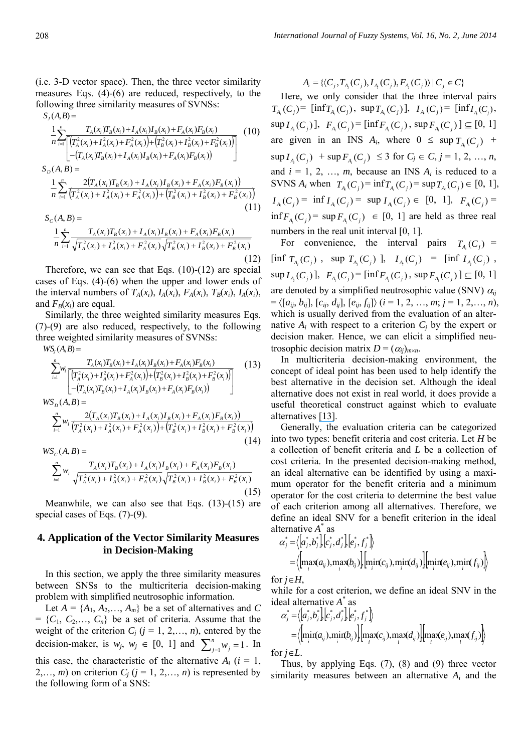(i.e. 3-D vector space). Then, the three vector similarity measures Eqs. (4)-(6) are reduced, respectively, to the following three similarity measures of SVNSs:

 $S_J(A, B) =$ 

$$
\frac{1}{n} \sum_{i=1}^{n} \frac{T_A(x_i)T_B(x_i) + I_A(x_i)I_B(x_i) + F_A(x_i)F_B(x_i)}{\left[ (T_A^2(x_i) + T_A^2(x_i) + F_A^2(x_i)) + (T_B^2(x_i) + T_B^2(x_i) + F_B^2(x_i)) \right]} (10)
$$
\n
$$
S_D(A, B) = \frac{1}{n} \sum_{i=1}^{n} \frac{2(T_A(x_i)T_B(x_i) + I_A(x_i)I_B(x_i) + F_A(x_i)F_B(x_i))}{(T_A^2(x_i) + T_A^2(x_i) + F_A^2(x_i)) + (T_B^2(x_i) + T_B^2(x_i))}
$$
\n
$$
(11)
$$

$$
S_{c}(A,B) = \frac{1}{n} \sum_{i=1}^{n} \frac{T_{A}(x_{i})T_{B}(x_{i}) + I_{A}(x_{i})I_{B}(x_{i}) + F_{A}(x_{i})F_{B}(x_{i})}{\sqrt{T_{A}^{2}(x_{i}) + I_{A}^{2}(x_{i}) + F_{A}^{2}(x_{i})}\sqrt{T_{B}^{2}(x_{i}) + I_{B}^{2}(x_{i}) + F_{B}^{2}(x_{i})}}
$$
\n(12)

Therefore, we can see that Eqs. (10)-(12) are special cases of Eqs. (4)-(6) when the upper and lower ends of the interval numbers of  $T_A(x_i)$ ,  $I_A(x_i)$ ,  $F_A(x_i)$ ,  $T_B(x_i)$ ,  $I_A(x_i)$ , and  $F_B(x_i)$  are equal.

Similarly, the three weighted similarity measures Eqs. (7)-(9) are also reduced, respectively, to the following three weighted similarity measures of SVNSs:  $WS_j(A, B) =$ 

$$
\sum_{i=1}^{n} w_{i} \frac{T_{A}(x_{i})T_{B}(x_{i}) + I_{A}(x_{i})I_{B}(x_{i}) + F_{A}(x_{i})F_{B}(x_{i})}{\left[\left(T_{A}^{2}(x_{i}) + T_{A}^{2}(x_{i}) + F_{A}^{2}(x_{i})\right) + \left(T_{B}^{2}(x_{i}) + T_{B}^{2}(x_{i}) + F_{B}^{2}(x_{i})\right)\right]} \quad (13)
$$
\n
$$
WS_{D}(A, B) = \sum_{i=1}^{n} w_{i} \frac{2(T_{A}(x_{i})T_{B}(x_{i}) + I_{A}(x_{i})I_{B}(x_{i}) + F_{A}(x_{i})F_{B}(x_{i}))}{\left(T_{A}^{2}(x_{i}) + T_{A}^{2}(x_{i}) + F_{A}^{2}(x_{i})\right) + \left(T_{B}^{2}(x_{i}) + T_{B}^{2}(x_{i}) + F_{B}^{2}(x_{i})\right)} \quad (14)
$$
\n
$$
WS_{C}(A, B) = \sum_{i=1}^{n} w_{i} \frac{T_{A}(x_{i})T_{B}(x_{i}) + I_{A}(x_{i})I_{B}(x_{i}) + F_{A}(x_{i})F_{B}(x_{i}) + F_{B}^{2}(x_{i})}{\sqrt{T_{A}^{2}(x_{i}) + T_{A}^{2}(x_{i}) + T_{A}^{2}(x_{i})}\sqrt{T_{B}^{2}(x_{i}) + T_{B}^{2}(x_{i})} + F_{B}^{2}(x_{i})} \quad (15)
$$

Meanwhile, we can also see that Eqs. (13)-(15) are special cases of Eqs. (7)-(9).

# **4. Application of the Vector Similarity Measures in Decision-Making**

In this section, we apply the three similarity measures between SNSs to the multicriteria decision-making problem with simplified neutrosophic information.

Let  $A = \{A_1, A_2, \ldots, A_m\}$  be a set of alternatives and C  $= \{C_1, C_2, \ldots, C_n\}$  be a set of criteria. Assume that the weight of the criterion  $C_j$  ( $j = 1, 2, \ldots, n$ ), entered by the decision-maker, is  $w_j$ ,  $w_j \in [0, 1]$  and  $\sum_{j=1}^n w_j = 1$  $w_j = 1$ . In this case, the characteristic of the alternative  $A_i$  ( $i = 1$ , 2,..., *m*) on criterion  $C_i$  ( $j = 1, 2, \ldots, n$ ) is represented by the following form of a SNS:

# $A_i = \{ (C_i, T_A(C_i), I_A(C_i), F_A(C_i)) \mid C_i \in C \}$

Here, we only consider that the three interval pairs  $T_{A_i}(C_j) = \left[ \inf T_{A_i}(C_j), \sup T_{A_i}(C_j) \right], \quad I_{A_i}(C_j) = \left[ \inf I_{A_i}(C_j), \right]$  $\sup I_{A_i}(C_j)$ ,  $F_{A_i}(C_j) = [\inf F_{A_i}(C_j), \sup F_{A_i}(C_j)] \subseteq [0, 1]$ are given in an INS  $A_i$ , where  $0 \le \sup T_{A_i}(C_j)$  +  $\sup I_{A_i}(C_j)$  +  $\sup F_{A_i}(C_j)$   $\leq$  3 for  $C_j \in C, j = 1, 2, ..., n$ , and  $i = 1, 2, ..., m$ , because an INS  $A_i$  is reduced to a SVNS  $A_i$  when  $T_{A_i}(C_j) = \inf T_{A_i}(C_j) = \sup T_{A_i}(C_j) \in [0, 1],$  $I_{A_i}(C_j) = \inf I_{A_i}(C_j) = \sup I_{A_i}(C_j) \in [0, 1], F_{A_i}(C_j) =$  $\inf F_{A_i}(C_j) = \sup F_{A_i}(C_j) \in [0, 1]$  are held as three real numbers in the real unit interval [0, 1].

For convenience, the interval pairs  $T_{A_i}(C_j)$  =  $\left[ \inf T_{A_i}(C_j)$ , sup  $T_{A_i}(C_j)$  ],  $I_{A_i}(C_j) = \inf I_{A_i}(C_j)$ ,  $\sup I_{A_i}(C_j)$ ,  $F_{A_i}(C_j) = [\inf F_{A_i}(C_j), \sup F_{A_i}(C_j)] \subseteq [0, 1]$ are denoted by a simplified neutrosophic value (SNV)  $\alpha_{ij}$  $= \langle [a_{ii}, b_{ii}], [c_{ii}, d_{ii}], [e_{ii}, f_{ii}] \rangle$  (*i* = 1, 2, …, *m*; *j* = 1, 2, …, *n*), which is usually derived from the evaluation of an alternative  $A_i$  with respect to a criterion  $C_i$  by the expert or decision maker. Hence, we can elicit a simplified neutrosophic decision matrix  $D = (a_{ij})_{m \times n}$ .

In multicriteria decision-making environment, the concept of ideal point has been used to help identify the best alternative in the decision set. Although the ideal alternative does not exist in real world, it does provide a useful theoretical construct against which to evaluate alternatives [\[13\]](https://www.researchgate.net/publication/262310809_Similarity_measures_between_interval_neutrosophic_sets_and_their_applications_in_multicriteria_decision-making?el=1_x_8&enrichId=rgreq-d0827249566a978e46d7efacd9ba0069-XXX&enrichSource=Y292ZXJQYWdlOzI4MTU0Njk3NDtBUzoyODk2NzU0NzEyNzgwODBAMTQ0NjA3NTQyMjYwOQ==).

Generally, the evaluation criteria can be categorized into two types: benefit criteria and cost criteria. Let *H* be a collection of benefit criteria and *L* be a collection of cost criteria. In the presented decision-making method, an ideal alternative can be identified by using a maximum operator for the benefit criteria and a minimum operator for the cost criteria to determine the best value of each criterion among all alternatives. Therefore, we define an ideal SNV for a benefit criterion in the ideal alternative *A*\* as

$$
\alpha_j^* = \langle \left[a_j^*, b_j^*\right] \left[e_j^*, d_j^*\right] \left[e_j^*, f_j^*\right] \rangle
$$
  
= 
$$
\langle \left[\max_i (a_{ij}), \max_i (b_{ij})\right] \left[\min_i (c_{ij}), \min_i (d_{ij})\right] \left[\min_i (e_{ij}), \min_i (f_{ij})\right] \rangle
$$

for  $j \in H$ ,

while for a cost criterion, we define an ideal SNV in the ideal alternative *A*\* as

$$
\alpha_j^* = \langle [a_j^*, b_j^*] [c_j^*, d_j^*] [e_j^*, f_j^*] \rangle
$$
  
=  $\langle [\min_i(a_{ij}), \min_i(b_{ij})] [\max_i(c_{ij}), \max_i(d_{ij})] [\max_i(e_{ij}), \max_i(f_{ij})] \rangle$ 

for  $j \in L$ .

Thus, by applying Eqs. (7), (8) and (9) three vector similarity measures between an alternative *Ai* and the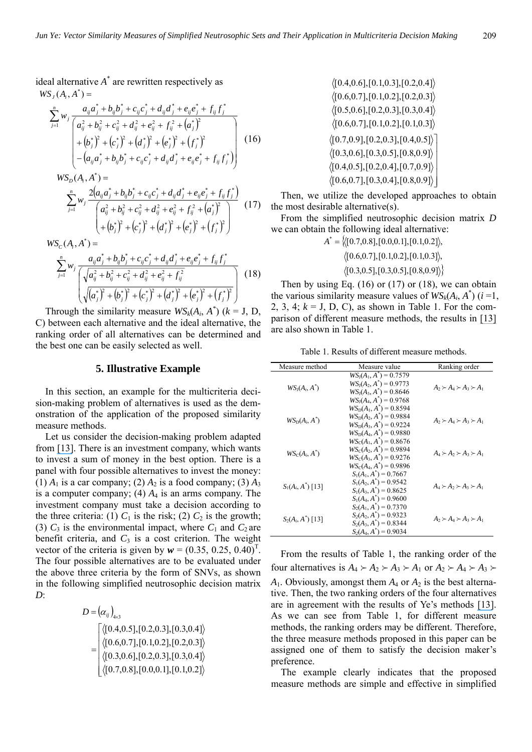ideal alternative *A*\* are rewritten respectively as  $WS_{J}(A_{i}, A^{*}) =$ 

$$
\sum_{j=1}^{n} w_j \frac{a_{ij}a_j^* + b_{ij}b_j^* + c_{ij}c_j^* + d_{ij}d_j^* + e_{ij}e_j^* + f_{ij}f_j^*}{\left(a_{ij}^2 + b_{ij}^2 + c_{ij}^2 + d_{ij}^2 + e_{ij}^2 + f_{ij}^2 + (a_j^*)^2 + (b_j^*)^2 + (c_j^*)^2 + (d_j^*)^2 + (f_j^*)^2 + (f_j^*)^2 - (a_{ij}a_j^* + b_{ij}b_j^* + c_{ij}c_j^* + d_{ij}d_j^* + e_{ij}e_j^* + f_{ij}f_j^*\right)}
$$
(16)

$$
WS_{D}(A_{i}, A^{*}) = \sum_{j=1}^{n} w_{j} \frac{2(a_{ij}a_{j}^{*} + b_{ij}b_{j}^{*} + c_{ij}c_{j}^{*} + d_{ij}d_{j}^{*} + e_{ij}e_{j}^{*} + f_{ij}f_{j}^{*})}{a_{ij}^{2} + b_{ij}^{2} + c_{ij}^{2} + d_{ij}^{2} + e_{ij}^{2} + f_{ij}^{2} + (a_{j}^{*})^{2}} + (b_{j}^{*})^{2} + (c_{j}^{*})^{2} + (d_{j}^{*})^{2} + (e_{j}^{*})^{2} + (f_{j}^{*})^{2}
$$
 (17)

$$
WS_{C}(A_{i}, A^{*}) = \frac{a_{ij}a_{j}^{*} + b_{ij}b_{j}^{*} + c_{ij}c_{j}^{*} + d_{ij}d_{j}^{*} + e_{ij}e_{j}^{*} + f_{ij}f_{j}^{*}}{\sqrt{a_{ij}^{2} + b_{ij}^{2} + c_{ij}^{2} + d_{ij}^{2} + e_{ij}^{2} + f_{ij}^{2}}}
$$
(18)  

$$
\sqrt{(a_{j}^{*})^{2} + (b_{j}^{*})^{2} + (c_{j}^{*})^{2} + (d_{j}^{*})^{2} + (e_{j}^{*})^{2} + (f_{j}^{*})^{2}}
$$

Through the similarity measure  $WS_k(A_i, A^*)$  ( $k = J, D,$ C) between each alternative and the ideal alternative, the ranking order of all alternatives can be determined and the best one can be easily selected as well.

### **5. Illustrative Example**

In this section, an example for the multicriteria decision-making problem of alternatives is used as the demonstration of the application of the proposed similarity measure methods.

Let us consider the decision-making problem adapted from [\[13\]](https://www.researchgate.net/publication/262310809_Similarity_measures_between_interval_neutrosophic_sets_and_their_applications_in_multicriteria_decision-making?el=1_x_8&enrichId=rgreq-d0827249566a978e46d7efacd9ba0069-XXX&enrichSource=Y292ZXJQYWdlOzI4MTU0Njk3NDtBUzoyODk2NzU0NzEyNzgwODBAMTQ0NjA3NTQyMjYwOQ==). There is an investment company, which wants to invest a sum of money in the best option. There is a panel with four possible alternatives to invest the money: (1)  $A_1$  is a car company; (2)  $A_2$  is a food company; (3)  $A_3$ is a computer company; (4)  $A_4$  is an arms company. The investment company must take a decision according to the three criteria: (1)  $C_1$  is the risk; (2)  $C_2$  is the growth; (3)  $C_3$  is the environmental impact, where  $C_1$  and  $C_2$  are benefit criteria, and  $C_3$  is a cost criterion. The weight vector of the criteria is given by  $w = (0.35, 0.25, 0.40)^T$ . The four possible alternatives are to be evaluated under the above three criteria by the form of SNVs, as shown in the following simplified neutrosophic decision matrix *D*:

$$
D = (\alpha_{ij})_{4\times 3}
$$
  
= 
$$
\begin{bmatrix} \langle [0.4, 0.5], [0.2, 0.3], [0.3, 0.4] \rangle \\ \langle [0.6, 0.7], [0.1, 0.2], [0.2, 0.3] \rangle \\ \langle [0.3, 0.6], [0.2, 0.3], [0.3, 0.4] \rangle \\ \langle [0.7, 0.8], [0.0, 0.1], [0.1, 0.2] \rangle \end{bmatrix}
$$

 $\langle [0.6, 0.7], [0.1, 0.2], [0.1, 0.3] \rangle$  $\langle [0.5, 0.6], [0.2, 0.3], [0.3, 0.4] \rangle$  $\langle [0.6, 0.7], [0.1, 0.2], [0.2, 0.3] \rangle$  $\langle [0.4, 0.6], [0.1, 0.3], [0.2, 0.4] \rangle$  $\cdot$  $\overline{\phantom{a}}$  $[0.4, 0.5], [0.2, 0.4], [0.7, 0.9]$ J  $(0.3, 0.6], [0.3, 0.5], [0.8, 0.9]$  $\left[0.6,\!0.7\right]\!,\![0.3,\!0.4],[0.8,\!0.9]\bigr\rangle$  $[0.7, 0.9]$ ,  $[0.2, 0.3]$ ,  $[0.4, 0.5]$ 

Then, we utilize the developed approaches to obtain the most desirable alternative(s).

From the simplified neutrosophic decision matrix *D*  we can obtain the following ideal alternative:

> $A^* = \{(0.7, 0.8], [0.0, 0.1], [0.1, 0.2]\},$  $\langle [0.3, 0.5], [0.3, 0.5], [0.8, 0.9] \rangle$  $\langle [0.6, 0.7], [0.1, 0.2], [0.1, 0.3] \rangle,$

Then by using Eq.  $(16)$  or  $(17)$  or  $(18)$ , we can obtain the various similarity measure values of  $WS_k(A_i, A^*)$  ( $i = 1$ , 2, 3, 4;  $k = J$ , D, C), as shown in Table 1. For the comparison of different measure methods, the results in [\[13\]](https://www.researchgate.net/publication/262310809_Similarity_measures_between_interval_neutrosophic_sets_and_their_applications_in_multicriteria_decision-making?el=1_x_8&enrichId=rgreq-d0827249566a978e46d7efacd9ba0069-XXX&enrichSource=Y292ZXJQYWdlOzI4MTU0Njk3NDtBUzoyODk2NzU0NzEyNzgwODBAMTQ0NjA3NTQyMjYwOQ==)  are also shown in Table 1.

Table 1. Results of different measure methods.

| Measure method               | Measure value                                                                                                                  | Ranking order                       |
|------------------------------|--------------------------------------------------------------------------------------------------------------------------------|-------------------------------------|
| $WS_{\rm J}(A_i, A^{\rm T})$ | $WS_{I}(A_{1}, A^{*}) = 0.7579$<br>$WS_{1}(A_{2}, A^{*}) = 0.9773$<br>$WS_J(A_3, A^*) = 0.8646$<br>$WS_J(A_4, A^*) = 0.9768$   | $A_2 \succ A_4 \succ A_3 \succ A_1$ |
| $WS_D(A_i, A))$              | $WS_D(A_1, A^*) = 0.8594$<br>$WS_D(A_2, A^*) = 0.9884$<br>$WS_D(A_3, A^*) = 0.9224$<br>$WS_D(A_4, A^*) = 0.9880$               | $A_2 \succ A_4 \succ A_3 \succ A_1$ |
| $WS_C(A_i, A^{\dagger})$     | $WS_C(A_1, A^*) = 0.8676$<br>$WS_C(A_2, A^{\dagger}) = 0.9894$<br>$WS_C(A_3, A^*) = 0.9276$<br>$WS_{\rm C}(A_4, A^*) = 0.9896$ | $A_4 \succ A_2 \succ A_3 \succ A_1$ |
| $S_1(A_i, A^{\dagger})$ [13] | $S_1(A_1, A^*) = 0.7667$<br>$S_1(A_2, A^*) = 0.9542$<br>$S_1(A_3, A^*) = 0.8625$<br>$S_1(A_4, A^*) = 0.9600$                   | $A_4 \succ A_2 \succ A_3 \succ A_1$ |
| $S_2(A_i, A^*)$ [13]         | $S_2(A_1, A^*) = 0.7370$<br>$S_2(A_2, A^*) = 0.9323$<br>$S_2(A_3, A^*) = 0.8344$<br>$S_2(A_4, A^*) = 0.9034$                   | $A_2 \succ A_4 \succ A_3 \succ A_1$ |

From the results of Table 1, the ranking order of the four alternatives is  $A_4 \succ A_2 \succ A_3 \succ A_1$  or  $A_2 \succ A_4 \succ A_3 \succ$  $A_1$ . Obviously, amongst them  $A_4$  or  $A_2$  is the best alternative. Then, the two ranking orders of the four alternatives are in agreement with the results of Ye's methods [\[13\]](https://www.researchgate.net/publication/262310809_Similarity_measures_between_interval_neutrosophic_sets_and_their_applications_in_multicriteria_decision-making?el=1_x_8&enrichId=rgreq-d0827249566a978e46d7efacd9ba0069-XXX&enrichSource=Y292ZXJQYWdlOzI4MTU0Njk3NDtBUzoyODk2NzU0NzEyNzgwODBAMTQ0NjA3NTQyMjYwOQ==). As we can see from Table 1, for different measure methods, the ranking orders may be different. Therefore, the three measure methods proposed in this paper can be assigned one of them to satisfy the decision maker's preference.

The example clearly indicates that the proposed measure methods are simple and effective in simplified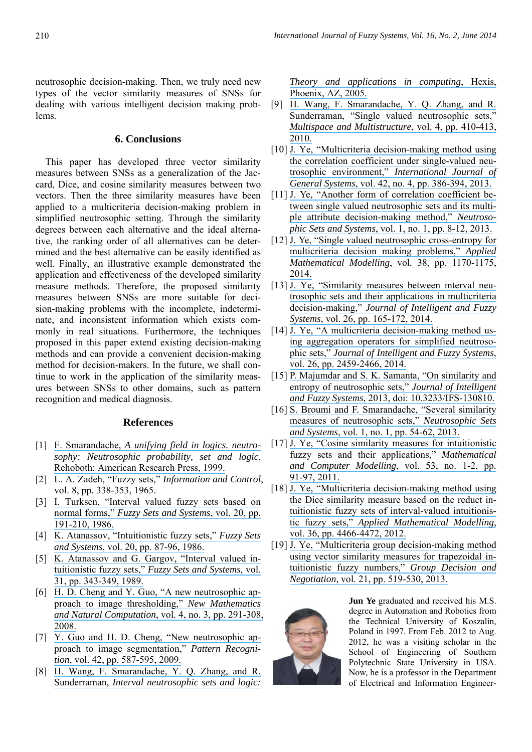neutrosophic decision-making. Then, we truly need new types of the vector similarity measures of SNSs for dealing with various intelligent decision making problems.

### **6. Conclusions**

This paper has developed three vector similarity measures between SNSs as a generalization of the Jaccard, Dice, and cosine similarity measures between two vectors. Then the three similarity measures have been applied to a multicriteria decision-making problem in simplified neutrosophic setting. Through the similarity degrees between each alternative and the ideal alternative, the ranking order of all alternatives can be determined and the best alternative can be easily identified as well. Finally, an illustrative example demonstrated the application and effectiveness of the developed similarity measure methods. Therefore, the proposed similarity measures between SNSs are more suitable for decision-making problems with the incomplete, indeterminate, and inconsistent information which exists commonly in real situations. Furthermore, the techniques proposed in this paper extend existing decision-making methods and can provide a convenient decision-making method for decision-makers. In the future, we shall continue to work in the application of the similarity measures between SNSs to other domains, such as pattern recognition and medical diagnosis.

### **References**

- [1] F. Smarandache, *[A unifying field in logics. neutro](https://www.researchgate.net/publication/237361912_A_Unifying_Field_in_Logics_Neutrosophic_Logic_Neutrosophy_Neutrosophic_Set_Neutrosophic_Probability_fifth_edition?el=1_x_8&enrichId=rgreq-d0827249566a978e46d7efacd9ba0069-XXX&enrichSource=Y292ZXJQYWdlOzI4MTU0Njk3NDtBUzoyODk2NzU0NzEyNzgwODBAMTQ0NjA3NTQyMjYwOQ==)[sophy: Neutrosophic probability, set and logic](https://www.researchgate.net/publication/237361912_A_Unifying_Field_in_Logics_Neutrosophic_Logic_Neutrosophy_Neutrosophic_Set_Neutrosophic_Probability_fifth_edition?el=1_x_8&enrichId=rgreq-d0827249566a978e46d7efacd9ba0069-XXX&enrichSource=Y292ZXJQYWdlOzI4MTU0Njk3NDtBUzoyODk2NzU0NzEyNzgwODBAMTQ0NjA3NTQyMjYwOQ==)*, [Rehoboth: American Research Press, 1999.](https://www.researchgate.net/publication/237361912_A_Unifying_Field_in_Logics_Neutrosophic_Logic_Neutrosophy_Neutrosophic_Set_Neutrosophic_Probability_fifth_edition?el=1_x_8&enrichId=rgreq-d0827249566a978e46d7efacd9ba0069-XXX&enrichSource=Y292ZXJQYWdlOzI4MTU0Njk3NDtBUzoyODk2NzU0NzEyNzgwODBAMTQ0NjA3NTQyMjYwOQ==)
- [2] L. A. Zadeh, "Fuzzy sets," *Information and Control*, vol. 8, pp. 338-353, 1965.
- [3] [I. Turksen, "Interval valued fuzzy sets based on](https://www.researchgate.net/publication/222385773_Turksen_LB_Interval_valued_fuzzy_sets_based_on_normal_forms_Fuzzy_Sets_Syst_80_191-210?el=1_x_8&enrichId=rgreq-d0827249566a978e46d7efacd9ba0069-XXX&enrichSource=Y292ZXJQYWdlOzI4MTU0Njk3NDtBUzoyODk2NzU0NzEyNzgwODBAMTQ0NjA3NTQyMjYwOQ==) normal forms," *[Fuzzy Sets and Systems](https://www.researchgate.net/publication/222385773_Turksen_LB_Interval_valued_fuzzy_sets_based_on_normal_forms_Fuzzy_Sets_Syst_80_191-210?el=1_x_8&enrichId=rgreq-d0827249566a978e46d7efacd9ba0069-XXX&enrichSource=Y292ZXJQYWdlOzI4MTU0Njk3NDtBUzoyODk2NzU0NzEyNzgwODBAMTQ0NjA3NTQyMjYwOQ==)*, vol. 20, pp. [191-210, 1986.](https://www.researchgate.net/publication/222385773_Turksen_LB_Interval_valued_fuzzy_sets_based_on_normal_forms_Fuzzy_Sets_Syst_80_191-210?el=1_x_8&enrichId=rgreq-d0827249566a978e46d7efacd9ba0069-XXX&enrichSource=Y292ZXJQYWdlOzI4MTU0Njk3NDtBUzoyODk2NzU0NzEyNzgwODBAMTQ0NjA3NTQyMjYwOQ==)
- [4] [K. Atanassov, "Intuitionistic fuzzy sets,"](https://www.researchgate.net/publication/256992299_Intuitionistic_Fuzzy_Sets_Fuzzy_Sets_Syst?el=1_x_8&enrichId=rgreq-d0827249566a978e46d7efacd9ba0069-XXX&enrichSource=Y292ZXJQYWdlOzI4MTU0Njk3NDtBUzoyODk2NzU0NzEyNzgwODBAMTQ0NjA3NTQyMjYwOQ==) *Fuzzy Sets and Systems*[, vol. 20, pp. 87-96, 1986.](https://www.researchgate.net/publication/256992299_Intuitionistic_Fuzzy_Sets_Fuzzy_Sets_Syst?el=1_x_8&enrichId=rgreq-d0827249566a978e46d7efacd9ba0069-XXX&enrichSource=Y292ZXJQYWdlOzI4MTU0Njk3NDtBUzoyODk2NzU0NzEyNzgwODBAMTQ0NjA3NTQyMjYwOQ==)
- [5] [K. Atanassov and G. Gargov, "Interval valued in](https://www.researchgate.net/publication/242799145_Gargov_G_Interval_Valued_Intuitionistic_Fuzzy_Sets_Fuzzy_Sets_and_Systems_31_343-349?el=1_x_8&enrichId=rgreq-d0827249566a978e46d7efacd9ba0069-XXX&enrichSource=Y292ZXJQYWdlOzI4MTU0Njk3NDtBUzoyODk2NzU0NzEyNzgwODBAMTQ0NjA3NTQyMjYwOQ==)[tuitionistic fuzzy sets,"](https://www.researchgate.net/publication/242799145_Gargov_G_Interval_Valued_Intuitionistic_Fuzzy_Sets_Fuzzy_Sets_and_Systems_31_343-349?el=1_x_8&enrichId=rgreq-d0827249566a978e46d7efacd9ba0069-XXX&enrichSource=Y292ZXJQYWdlOzI4MTU0Njk3NDtBUzoyODk2NzU0NzEyNzgwODBAMTQ0NjA3NTQyMjYwOQ==) *Fuzzy Sets and Systems*, vol. [31, pp. 343-349, 1989.](https://www.researchgate.net/publication/242799145_Gargov_G_Interval_Valued_Intuitionistic_Fuzzy_Sets_Fuzzy_Sets_and_Systems_31_343-349?el=1_x_8&enrichId=rgreq-d0827249566a978e46d7efacd9ba0069-XXX&enrichSource=Y292ZXJQYWdlOzI4MTU0Njk3NDtBUzoyODk2NzU0NzEyNzgwODBAMTQ0NjA3NTQyMjYwOQ==)
- [6] [H. D. Cheng and Y. Guo, "A new neutrosophic ap](https://www.researchgate.net/publication/46510601_A_NEW_NEUTROSOPHIC_APPROACH_TO_IMAGE_DENOISING?el=1_x_8&enrichId=rgreq-d0827249566a978e46d7efacd9ba0069-XXX&enrichSource=Y292ZXJQYWdlOzI4MTU0Njk3NDtBUzoyODk2NzU0NzEyNzgwODBAMTQ0NjA3NTQyMjYwOQ==)[proach to image thresholding,"](https://www.researchgate.net/publication/46510601_A_NEW_NEUTROSOPHIC_APPROACH_TO_IMAGE_DENOISING?el=1_x_8&enrichId=rgreq-d0827249566a978e46d7efacd9ba0069-XXX&enrichSource=Y292ZXJQYWdlOzI4MTU0Njk3NDtBUzoyODk2NzU0NzEyNzgwODBAMTQ0NjA3NTQyMjYwOQ==) *New Mathematics and Natural Computation*[, vol. 4, no. 3, pp. 291-308,](https://www.researchgate.net/publication/46510601_A_NEW_NEUTROSOPHIC_APPROACH_TO_IMAGE_DENOISING?el=1_x_8&enrichId=rgreq-d0827249566a978e46d7efacd9ba0069-XXX&enrichSource=Y292ZXJQYWdlOzI4MTU0Njk3NDtBUzoyODk2NzU0NzEyNzgwODBAMTQ0NjA3NTQyMjYwOQ==)  [2008.](https://www.researchgate.net/publication/46510601_A_NEW_NEUTROSOPHIC_APPROACH_TO_IMAGE_DENOISING?el=1_x_8&enrichId=rgreq-d0827249566a978e46d7efacd9ba0069-XXX&enrichSource=Y292ZXJQYWdlOzI4MTU0Njk3NDtBUzoyODk2NzU0NzEyNzgwODBAMTQ0NjA3NTQyMjYwOQ==)
- [7] [Y. Guo and H. D. Cheng, "New neutrosophic ap](https://www.researchgate.net/publication/223719769_New_neutrosophic_approach_to_image_segmentation?el=1_x_8&enrichId=rgreq-d0827249566a978e46d7efacd9ba0069-XXX&enrichSource=Y292ZXJQYWdlOzI4MTU0Njk3NDtBUzoyODk2NzU0NzEyNzgwODBAMTQ0NjA3NTQyMjYwOQ==)[proach to image segmentation,"](https://www.researchgate.net/publication/223719769_New_neutrosophic_approach_to_image_segmentation?el=1_x_8&enrichId=rgreq-d0827249566a978e46d7efacd9ba0069-XXX&enrichSource=Y292ZXJQYWdlOzI4MTU0Njk3NDtBUzoyODk2NzU0NzEyNzgwODBAMTQ0NjA3NTQyMjYwOQ==) *Pattern Recognition*[, vol. 42, pp. 587-595, 2009.](https://www.researchgate.net/publication/223719769_New_neutrosophic_approach_to_image_segmentation?el=1_x_8&enrichId=rgreq-d0827249566a978e46d7efacd9ba0069-XXX&enrichSource=Y292ZXJQYWdlOzI4MTU0Njk3NDtBUzoyODk2NzU0NzEyNzgwODBAMTQ0NjA3NTQyMjYwOQ==)
- [8] [H. Wang, F. Smarandache, Y. Q. Zhang, and R.](https://www.researchgate.net/publication/237430259_Interval_Neutrosophic_Sets_and_Logic_Theory_and_Applications_in_Computing?el=1_x_8&enrichId=rgreq-d0827249566a978e46d7efacd9ba0069-XXX&enrichSource=Y292ZXJQYWdlOzI4MTU0Njk3NDtBUzoyODk2NzU0NzEyNzgwODBAMTQ0NjA3NTQyMjYwOQ==)  Sunderraman, *[Interval neutrosophic sets and logic:](https://www.researchgate.net/publication/237430259_Interval_Neutrosophic_Sets_and_Logic_Theory_and_Applications_in_Computing?el=1_x_8&enrichId=rgreq-d0827249566a978e46d7efacd9ba0069-XXX&enrichSource=Y292ZXJQYWdlOzI4MTU0Njk3NDtBUzoyODk2NzU0NzEyNzgwODBAMTQ0NjA3NTQyMjYwOQ==)*

*[Theory and applications in computing](https://www.researchgate.net/publication/237430259_Interval_Neutrosophic_Sets_and_Logic_Theory_and_Applications_in_Computing?el=1_x_8&enrichId=rgreq-d0827249566a978e46d7efacd9ba0069-XXX&enrichSource=Y292ZXJQYWdlOzI4MTU0Njk3NDtBUzoyODk2NzU0NzEyNzgwODBAMTQ0NjA3NTQyMjYwOQ==)*, Hexis, [Phoenix, AZ, 2005.](https://www.researchgate.net/publication/237430259_Interval_Neutrosophic_Sets_and_Logic_Theory_and_Applications_in_Computing?el=1_x_8&enrichId=rgreq-d0827249566a978e46d7efacd9ba0069-XXX&enrichSource=Y292ZXJQYWdlOzI4MTU0Njk3NDtBUzoyODk2NzU0NzEyNzgwODBAMTQ0NjA3NTQyMjYwOQ==) 

- [9] [H. Wang, F. Smarandache, Y. Q. Zhang, and R.](https://www.researchgate.net/publication/262047656_Single_valued_neutrosophic_sets?el=1_x_8&enrichId=rgreq-d0827249566a978e46d7efacd9ba0069-XXX&enrichSource=Y292ZXJQYWdlOzI4MTU0Njk3NDtBUzoyODk2NzU0NzEyNzgwODBAMTQ0NjA3NTQyMjYwOQ==)  [Sunderraman, "Single valued neutrosophic sets,"](https://www.researchgate.net/publication/262047656_Single_valued_neutrosophic_sets?el=1_x_8&enrichId=rgreq-d0827249566a978e46d7efacd9ba0069-XXX&enrichSource=Y292ZXJQYWdlOzI4MTU0Njk3NDtBUzoyODk2NzU0NzEyNzgwODBAMTQ0NjA3NTQyMjYwOQ==) *[Multispace and Multistructure](https://www.researchgate.net/publication/262047656_Single_valued_neutrosophic_sets?el=1_x_8&enrichId=rgreq-d0827249566a978e46d7efacd9ba0069-XXX&enrichSource=Y292ZXJQYWdlOzI4MTU0Njk3NDtBUzoyODk2NzU0NzEyNzgwODBAMTQ0NjA3NTQyMjYwOQ==)*, vol. 4, pp. 410-413, [2010.](https://www.researchgate.net/publication/262047656_Single_valued_neutrosophic_sets?el=1_x_8&enrichId=rgreq-d0827249566a978e46d7efacd9ba0069-XXX&enrichSource=Y292ZXJQYWdlOzI4MTU0Njk3NDtBUzoyODk2NzU0NzEyNzgwODBAMTQ0NjA3NTQyMjYwOQ==)
- [10] J. Ye, "Multicriteria decision-making method using [the correlation coefficient under single-valued neu](https://www.researchgate.net/publication/263257550_Multicriteria_decision-making_method_using_the_correlation_coefficient_under_single-value_neutrosophic_environment?el=1_x_8&enrichId=rgreq-d0827249566a978e46d7efacd9ba0069-XXX&enrichSource=Y292ZXJQYWdlOzI4MTU0Njk3NDtBUzoyODk2NzU0NzEyNzgwODBAMTQ0NjA3NTQyMjYwOQ==)trosophic environment," *[International Journal of](https://www.researchgate.net/publication/263257550_Multicriteria_decision-making_method_using_the_correlation_coefficient_under_single-value_neutrosophic_environment?el=1_x_8&enrichId=rgreq-d0827249566a978e46d7efacd9ba0069-XXX&enrichSource=Y292ZXJQYWdlOzI4MTU0Njk3NDtBUzoyODk2NzU0NzEyNzgwODBAMTQ0NjA3NTQyMjYwOQ==)  General Systems*[, vol. 42, no. 4, pp. 386-394, 2013.](https://www.researchgate.net/publication/263257550_Multicriteria_decision-making_method_using_the_correlation_coefficient_under_single-value_neutrosophic_environment?el=1_x_8&enrichId=rgreq-d0827249566a978e46d7efacd9ba0069-XXX&enrichSource=Y292ZXJQYWdlOzI4MTU0Njk3NDtBUzoyODk2NzU0NzEyNzgwODBAMTQ0NjA3NTQyMjYwOQ==)
- [11] [J. Ye, "Another form of correlation coefficient be](https://www.researchgate.net/publication/308789690_Another_Form_of_Correlation_Coefficient_between_Single_Valued_Neutrosophic_Sets_and_Its_Multiple_Attribute_Decision-_Making_Method?el=1_x_8&enrichId=rgreq-d0827249566a978e46d7efacd9ba0069-XXX&enrichSource=Y292ZXJQYWdlOzI4MTU0Njk3NDtBUzoyODk2NzU0NzEyNzgwODBAMTQ0NjA3NTQyMjYwOQ==)[tween single valued neutrosophic sets and its multi](https://www.researchgate.net/publication/308789690_Another_Form_of_Correlation_Coefficient_between_Single_Valued_Neutrosophic_Sets_and_Its_Multiple_Attribute_Decision-_Making_Method?el=1_x_8&enrichId=rgreq-d0827249566a978e46d7efacd9ba0069-XXX&enrichSource=Y292ZXJQYWdlOzI4MTU0Njk3NDtBUzoyODk2NzU0NzEyNzgwODBAMTQ0NjA3NTQyMjYwOQ==)[ple attribute decision-making method,"](https://www.researchgate.net/publication/308789690_Another_Form_of_Correlation_Coefficient_between_Single_Valued_Neutrosophic_Sets_and_Its_Multiple_Attribute_Decision-_Making_Method?el=1_x_8&enrichId=rgreq-d0827249566a978e46d7efacd9ba0069-XXX&enrichSource=Y292ZXJQYWdlOzI4MTU0Njk3NDtBUzoyODk2NzU0NzEyNzgwODBAMTQ0NjA3NTQyMjYwOQ==) *Neutrosophic Sets and Systems*[, vol. 1, no. 1, pp. 8-12, 2013.](https://www.researchgate.net/publication/308789690_Another_Form_of_Correlation_Coefficient_between_Single_Valued_Neutrosophic_Sets_and_Its_Multiple_Attribute_Decision-_Making_Method?el=1_x_8&enrichId=rgreq-d0827249566a978e46d7efacd9ba0069-XXX&enrichSource=Y292ZXJQYWdlOzI4MTU0Njk3NDtBUzoyODk2NzU0NzEyNzgwODBAMTQ0NjA3NTQyMjYwOQ==)
- [12] J. Ye, "Single valued neutrosophic cross-entropy for [multicriteria decision making problems,"](https://www.researchgate.net/publication/260043492_Single_valued_neutrosophic_cross-entropy_for_multicriteria_decision_making_problems?el=1_x_8&enrichId=rgreq-d0827249566a978e46d7efacd9ba0069-XXX&enrichSource=Y292ZXJQYWdlOzI4MTU0Njk3NDtBUzoyODk2NzU0NzEyNzgwODBAMTQ0NjA3NTQyMjYwOQ==) *Applied [Mathematical Modelling](https://www.researchgate.net/publication/260043492_Single_valued_neutrosophic_cross-entropy_for_multicriteria_decision_making_problems?el=1_x_8&enrichId=rgreq-d0827249566a978e46d7efacd9ba0069-XXX&enrichSource=Y292ZXJQYWdlOzI4MTU0Njk3NDtBUzoyODk2NzU0NzEyNzgwODBAMTQ0NjA3NTQyMjYwOQ==)*, vol*.* 38, pp. 1170-1175, [2014.](https://www.researchgate.net/publication/260043492_Single_valued_neutrosophic_cross-entropy_for_multicriteria_decision_making_problems?el=1_x_8&enrichId=rgreq-d0827249566a978e46d7efacd9ba0069-XXX&enrichSource=Y292ZXJQYWdlOzI4MTU0Njk3NDtBUzoyODk2NzU0NzEyNzgwODBAMTQ0NjA3NTQyMjYwOQ==)
- [13] [J. Ye, "Similarity measures between interval neu](https://www.researchgate.net/publication/262310809_Similarity_measures_between_interval_neutrosophic_sets_and_their_applications_in_multicriteria_decision-making?el=1_x_8&enrichId=rgreq-d0827249566a978e46d7efacd9ba0069-XXX&enrichSource=Y292ZXJQYWdlOzI4MTU0Njk3NDtBUzoyODk2NzU0NzEyNzgwODBAMTQ0NjA3NTQyMjYwOQ==)[trosophic sets and their applications in multicriteria](https://www.researchgate.net/publication/262310809_Similarity_measures_between_interval_neutrosophic_sets_and_their_applications_in_multicriteria_decision-making?el=1_x_8&enrichId=rgreq-d0827249566a978e46d7efacd9ba0069-XXX&enrichSource=Y292ZXJQYWdlOzI4MTU0Njk3NDtBUzoyODk2NzU0NzEyNzgwODBAMTQ0NjA3NTQyMjYwOQ==)  decision-making," *[Journal of Intelligent and Fuzzy](https://www.researchgate.net/publication/262310809_Similarity_measures_between_interval_neutrosophic_sets_and_their_applications_in_multicriteria_decision-making?el=1_x_8&enrichId=rgreq-d0827249566a978e46d7efacd9ba0069-XXX&enrichSource=Y292ZXJQYWdlOzI4MTU0Njk3NDtBUzoyODk2NzU0NzEyNzgwODBAMTQ0NjA3NTQyMjYwOQ==)  Systems*[, vol. 26, pp. 165-172, 2014.](https://www.researchgate.net/publication/262310809_Similarity_measures_between_interval_neutrosophic_sets_and_their_applications_in_multicriteria_decision-making?el=1_x_8&enrichId=rgreq-d0827249566a978e46d7efacd9ba0069-XXX&enrichSource=Y292ZXJQYWdlOzI4MTU0Njk3NDtBUzoyODk2NzU0NzEyNzgwODBAMTQ0NjA3NTQyMjYwOQ==)
- [14] [J. Ye, "A multicriteria decision-making method us](https://www.researchgate.net/publication/281305240_A_multicriteria_decision-making_method_using_aggregation_operators_for_simplified_neutrosophic_sets?el=1_x_8&enrichId=rgreq-d0827249566a978e46d7efacd9ba0069-XXX&enrichSource=Y292ZXJQYWdlOzI4MTU0Njk3NDtBUzoyODk2NzU0NzEyNzgwODBAMTQ0NjA3NTQyMjYwOQ==)[ing aggregation operators for simplified neutroso](https://www.researchgate.net/publication/281305240_A_multicriteria_decision-making_method_using_aggregation_operators_for_simplified_neutrosophic_sets?el=1_x_8&enrichId=rgreq-d0827249566a978e46d7efacd9ba0069-XXX&enrichSource=Y292ZXJQYWdlOzI4MTU0Njk3NDtBUzoyODk2NzU0NzEyNzgwODBAMTQ0NjA3NTQyMjYwOQ==)phic sets," *[Journal of Intelligent and Fuzzy Systems](https://www.researchgate.net/publication/281305240_A_multicriteria_decision-making_method_using_aggregation_operators_for_simplified_neutrosophic_sets?el=1_x_8&enrichId=rgreq-d0827249566a978e46d7efacd9ba0069-XXX&enrichSource=Y292ZXJQYWdlOzI4MTU0Njk3NDtBUzoyODk2NzU0NzEyNzgwODBAMTQ0NjA3NTQyMjYwOQ==)*, [vol. 26, pp. 2459-2466, 2014.](https://www.researchgate.net/publication/281305240_A_multicriteria_decision-making_method_using_aggregation_operators_for_simplified_neutrosophic_sets?el=1_x_8&enrichId=rgreq-d0827249566a978e46d7efacd9ba0069-XXX&enrichSource=Y292ZXJQYWdlOzI4MTU0Njk3NDtBUzoyODk2NzU0NzEyNzgwODBAMTQ0NjA3NTQyMjYwOQ==)
- [15] P. Majumdar and S. K. Samanta, "On similarity and [entropy of neutrosophic sets,"](https://www.researchgate.net/publication/262326553_On_similarity_and_entropy_of_neutrosophic_sets?el=1_x_8&enrichId=rgreq-d0827249566a978e46d7efacd9ba0069-XXX&enrichSource=Y292ZXJQYWdlOzI4MTU0Njk3NDtBUzoyODk2NzU0NzEyNzgwODBAMTQ0NjA3NTQyMjYwOQ==) *Journal of Intelligent and Fuzzy Systems*[, 2013, doi: 10.3233/IFS-130810.](https://www.researchgate.net/publication/262326553_On_similarity_and_entropy_of_neutrosophic_sets?el=1_x_8&enrichId=rgreq-d0827249566a978e46d7efacd9ba0069-XXX&enrichSource=Y292ZXJQYWdlOzI4MTU0Njk3NDtBUzoyODk2NzU0NzEyNzgwODBAMTQ0NjA3NTQyMjYwOQ==)
- [16] S. Broumi and F. Smarandache, "Several similarity [measures of neutrosophic sets,"](https://www.researchgate.net/publication/268444223_Several_Similarity_Measures_of_Neutrosophic_Sets?el=1_x_8&enrichId=rgreq-d0827249566a978e46d7efacd9ba0069-XXX&enrichSource=Y292ZXJQYWdlOzI4MTU0Njk3NDtBUzoyODk2NzU0NzEyNzgwODBAMTQ0NjA3NTQyMjYwOQ==) *Neutrosophic Sets and Systems*[, vol. 1, no. 1, pp. 54-62, 2013.](https://www.researchgate.net/publication/268444223_Several_Similarity_Measures_of_Neutrosophic_Sets?el=1_x_8&enrichId=rgreq-d0827249566a978e46d7efacd9ba0069-XXX&enrichSource=Y292ZXJQYWdlOzI4MTU0Njk3NDtBUzoyODk2NzU0NzEyNzgwODBAMTQ0NjA3NTQyMjYwOQ==)
- [17] [J. Ye, "Cosine similarity measures for intuitionistic](https://www.researchgate.net/publication/220096421_Ye_J_Cosine_similarity_measures_for_intuitionistic_fuzzy_sets_and_their_applications_Mathematical_and_Computer_Modelling_53_91-97?el=1_x_8&enrichId=rgreq-d0827249566a978e46d7efacd9ba0069-XXX&enrichSource=Y292ZXJQYWdlOzI4MTU0Njk3NDtBUzoyODk2NzU0NzEyNzgwODBAMTQ0NjA3NTQyMjYwOQ==)  [fuzzy sets and their applications,"](https://www.researchgate.net/publication/220096421_Ye_J_Cosine_similarity_measures_for_intuitionistic_fuzzy_sets_and_their_applications_Mathematical_and_Computer_Modelling_53_91-97?el=1_x_8&enrichId=rgreq-d0827249566a978e46d7efacd9ba0069-XXX&enrichSource=Y292ZXJQYWdlOzI4MTU0Njk3NDtBUzoyODk2NzU0NzEyNzgwODBAMTQ0NjA3NTQyMjYwOQ==) *Mathematical [and Computer Modelling](https://www.researchgate.net/publication/220096421_Ye_J_Cosine_similarity_measures_for_intuitionistic_fuzzy_sets_and_their_applications_Mathematical_and_Computer_Modelling_53_91-97?el=1_x_8&enrichId=rgreq-d0827249566a978e46d7efacd9ba0069-XXX&enrichSource=Y292ZXJQYWdlOzI4MTU0Njk3NDtBUzoyODk2NzU0NzEyNzgwODBAMTQ0NjA3NTQyMjYwOQ==)*, vol. 53, no. 1-2, pp. [91-97, 2011.](https://www.researchgate.net/publication/220096421_Ye_J_Cosine_similarity_measures_for_intuitionistic_fuzzy_sets_and_their_applications_Mathematical_and_Computer_Modelling_53_91-97?el=1_x_8&enrichId=rgreq-d0827249566a978e46d7efacd9ba0069-XXX&enrichSource=Y292ZXJQYWdlOzI4MTU0Njk3NDtBUzoyODk2NzU0NzEyNzgwODBAMTQ0NjA3NTQyMjYwOQ==)
- [18] J. Ye, "Multicriteria decision-making method using [the Dice similarity measure based on the reduct in](https://www.researchgate.net/publication/257161413_Multicriteria_decision-making_method_using_the_Dice_similarity_measure_based_on_the_reduct_intuitionistic_fuzzy_sets_of_interval-valued_intuitionistic_fuzzy_sets?el=1_x_8&enrichId=rgreq-d0827249566a978e46d7efacd9ba0069-XXX&enrichSource=Y292ZXJQYWdlOzI4MTU0Njk3NDtBUzoyODk2NzU0NzEyNzgwODBAMTQ0NjA3NTQyMjYwOQ==)[tuitionistic fuzzy sets of interval-valued intuitionis](https://www.researchgate.net/publication/257161413_Multicriteria_decision-making_method_using_the_Dice_similarity_measure_based_on_the_reduct_intuitionistic_fuzzy_sets_of_interval-valued_intuitionistic_fuzzy_sets?el=1_x_8&enrichId=rgreq-d0827249566a978e46d7efacd9ba0069-XXX&enrichSource=Y292ZXJQYWdlOzI4MTU0Njk3NDtBUzoyODk2NzU0NzEyNzgwODBAMTQ0NjA3NTQyMjYwOQ==)tic fuzzy sets," *[Applied Mathematical Modelling](https://www.researchgate.net/publication/257161413_Multicriteria_decision-making_method_using_the_Dice_similarity_measure_based_on_the_reduct_intuitionistic_fuzzy_sets_of_interval-valued_intuitionistic_fuzzy_sets?el=1_x_8&enrichId=rgreq-d0827249566a978e46d7efacd9ba0069-XXX&enrichSource=Y292ZXJQYWdlOzI4MTU0Njk3NDtBUzoyODk2NzU0NzEyNzgwODBAMTQ0NjA3NTQyMjYwOQ==)*, [vol. 36, pp. 4466-4472, 2012.](https://www.researchgate.net/publication/257161413_Multicriteria_decision-making_method_using_the_Dice_similarity_measure_based_on_the_reduct_intuitionistic_fuzzy_sets_of_interval-valued_intuitionistic_fuzzy_sets?el=1_x_8&enrichId=rgreq-d0827249566a978e46d7efacd9ba0069-XXX&enrichSource=Y292ZXJQYWdlOzI4MTU0Njk3NDtBUzoyODk2NzU0NzEyNzgwODBAMTQ0NjA3NTQyMjYwOQ==)
- [19] [J. Ye, "Multicriteria group decision-making method](https://www.researchgate.net/publication/251217496_Multicriteria_Group_Decision-Making_Method_Using_Vector_Similarity_Measures_For_Trapezoidal_Intuitionistic_Fuzzy_Numbers?el=1_x_8&enrichId=rgreq-d0827249566a978e46d7efacd9ba0069-XXX&enrichSource=Y292ZXJQYWdlOzI4MTU0Njk3NDtBUzoyODk2NzU0NzEyNzgwODBAMTQ0NjA3NTQyMjYwOQ==)  [using vector similarity measures for trapezoidal in](https://www.researchgate.net/publication/251217496_Multicriteria_Group_Decision-Making_Method_Using_Vector_Similarity_Measures_For_Trapezoidal_Intuitionistic_Fuzzy_Numbers?el=1_x_8&enrichId=rgreq-d0827249566a978e46d7efacd9ba0069-XXX&enrichSource=Y292ZXJQYWdlOzI4MTU0Njk3NDtBUzoyODk2NzU0NzEyNzgwODBAMTQ0NjA3NTQyMjYwOQ==)[tuitionistic fuzzy numbers,"](https://www.researchgate.net/publication/251217496_Multicriteria_Group_Decision-Making_Method_Using_Vector_Similarity_Measures_For_Trapezoidal_Intuitionistic_Fuzzy_Numbers?el=1_x_8&enrichId=rgreq-d0827249566a978e46d7efacd9ba0069-XXX&enrichSource=Y292ZXJQYWdlOzI4MTU0Njk3NDtBUzoyODk2NzU0NzEyNzgwODBAMTQ0NjA3NTQyMjYwOQ==) *Group Decision and Negotiation*[, vol. 21, pp. 519-530, 2013.](https://www.researchgate.net/publication/251217496_Multicriteria_Group_Decision-Making_Method_Using_Vector_Similarity_Measures_For_Trapezoidal_Intuitionistic_Fuzzy_Numbers?el=1_x_8&enrichId=rgreq-d0827249566a978e46d7efacd9ba0069-XXX&enrichSource=Y292ZXJQYWdlOzI4MTU0Njk3NDtBUzoyODk2NzU0NzEyNzgwODBAMTQ0NjA3NTQyMjYwOQ==)



**Jun Ye** graduated and received his M.S. degree in Automation and Robotics from the Technical University of Koszalin, Poland in 1997. From Feb. 2012 to Aug. 2012, he was a visiting scholar in the School of Engineering of Southern Polytechnic State University in USA. Now, he is a professor in the Department of Electrical and Information Engineer